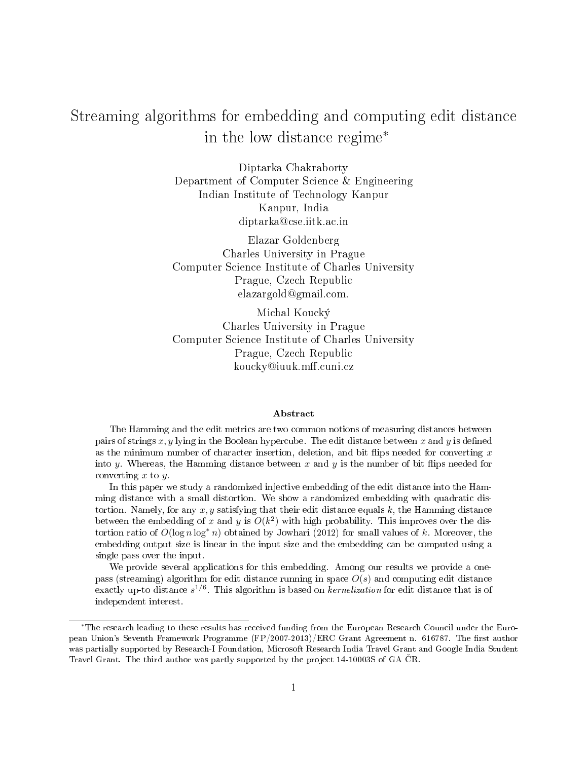# Streaming algorithms for embedding and computing edit distance in the low distance regime<sup>∗</sup>

Diptarka Chakraborty Department of Computer Science & Engineering Indian Institute of Technology Kanpur Kanpur, India diptarka@cse.iitk.ac.in

Elazar Goldenberg Charles University in Prague Computer Science Institute of Charles University Prague, Czech Republic elazargold@gmail.com.

Michal Koucký Charles University in Prague Computer Science Institute of Charles University Prague, Czech Republic koucky@iuuk.mff.cuni.cz

#### Abstract

The Hamming and the edit metrics are two common notions of measuring distances between pairs of strings x, y lying in the Boolean hypercube. The edit distance between x and y is defined as the minimum number of character insertion, deletion, and bit flips needed for converting  $x$ into y. Whereas, the Hamming distance between x and y is the number of bit flips needed for converting  $x$  to  $y$ .

In this paper we study a randomized injective embedding of the edit distance into the Hamming distance with a small distortion. We show a randomized embedding with quadratic distortion. Namely, for any  $x, y$  satisfying that their edit distance equals  $k$ , the Hamming distance between the embedding of x and y is  $O(k^2)$  with high probability. This improves over the distortion ratio of  $O(\log n \log^* n)$  obtained by Jowhari (2012) for small values of k. Moreover, the embedding output size is linear in the input size and the embedding can be computed using a single pass over the input.

We provide several applications for this embedding. Among our results we provide a onepass (streaming) algorithm for edit distance running in space  $O(s)$  and computing edit distance exactly up-to distance  $s^{1/6}$  This algorithm is based on kernelization for edit distance that is of independent interest.

<sup>∗</sup>The research leading to these results has received funding from the European Research Council under the European Union's Seventh Framework Programme (FP/2007-2013)/ERC Grant Agreement n. 616787. The first author was partially supported by Research-I Foundation, Microsoft Research India Travel Grant and Google India Student Travel Grant. The third author was partly supported by the project 14-10003S of GA ČR.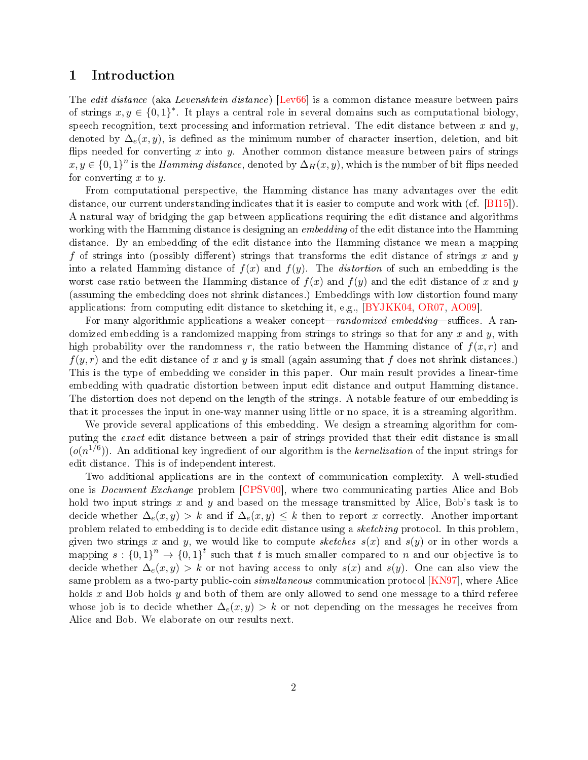# 1 Introduction

The *edit distance* (aka *Levenshtein distance*) [\[Lev66\]](#page-24-0) is a common distance measure between pairs of strings  $x, y \in \{0,1\}^*$  It plays a central role in several domains such as computational biology, speech recognition, text processing and information retrieval. The edit distance between  $x$  and  $y$ . denoted by  $\Delta_e(x, y)$ , is defined as the minimum number of character insertion, deletion, and bit flips needed for converting x into y. Another common distance measure between pairs of strings  $x,y\in\left\{ 0,1\right\} ^{n}$  is the Hamming distance, denoted by  $\Delta_{H}(x,y),$  which is the number of bit flips needed for converting  $x$  to  $y$ .

From computational perspective, the Hamming distance has many advantages over the edit distance, our current understanding indicates that it is easier to compute and work with (cf. [\[BI15\]](#page-23-0)). A natural way of bridging the gap between applications requiring the edit distance and algorithms working with the Hamming distance is designing an *embedding* of the edit distance into the Hamming distance. By an embedding of the edit distance into the Hamming distance we mean a mapping f of strings into (possibly different) strings that transforms the edit distance of strings x and y into a related Hamming distance of  $f(x)$  and  $f(y)$ . The *distortion* of such an embedding is the worst case ratio between the Hamming distance of  $f(x)$  and  $f(y)$  and the edit distance of x and y (assuming the embedding does not shrink distances.) Embeddings with low distortion found many applications: from computing edit distance to sketching it, e.g., [\[BYJKK04,](#page-23-1) [OR07,](#page-25-0) [AO09\]](#page-23-2).

For many algorithmic applications a weaker concept— $randomized embedding$ —suffices. A randomized embedding is a randomized mapping from strings to strings so that for any x and y, with high probability over the randomness r, the ratio between the Hamming distance of  $f(x, r)$  and  $f(y, r)$  and the edit distance of x and y is small (again assuming that f does not shrink distances.) This is the type of embedding we consider in this paper. Our main result provides a linear-time embedding with quadratic distortion between input edit distance and output Hamming distance. The distortion does not depend on the length of the strings. A notable feature of our embedding is that it processes the input in one-way manner using little or no space, it is a streaming algorithm.

We provide several applications of this embedding. We design a streaming algorithm for computing the exact edit distance between a pair of strings provided that their edit distance is small  $(o(n^{1/6}))$ . An additional key ingredient of our algorithm is the kernelization of the input strings for edit distance. This is of independent interest.

Two additional applications are in the context of communication complexity. A well-studied one is Document Exchange problem [\[CPSV00\]](#page-23-3), where two communicating parties Alice and Bob hold two input strings x and y and based on the message transmitted by Alice, Bob's task is to decide whether  $\Delta_e(x, y) > k$  and if  $\Delta_e(x, y) \leq k$  then to report x correctly. Another important problem related to embedding is to decide edit distance using a *sketching* protocol. In this problem, given two strings x and y, we would like to compute sketches  $s(x)$  and  $s(y)$  or in other words a mapping  $s: \{0,1\}^n \to \{0,1\}^t$  such that t is much smaller compared to n and our objective is to decide whether  $\Delta_e(x, y) > k$  or not having access to only  $s(x)$  and  $s(y)$ . One can also view the same problem as a two-party public-coin *simultaneous* communication protocol [\[KN97\]](#page-24-1), where Alice holds x and Bob holds y and both of them are only allowed to send one message to a third referee whose job is to decide whether  $\Delta_e(x, y) > k$  or not depending on the messages he receives from Alice and Bob. We elaborate on our results next.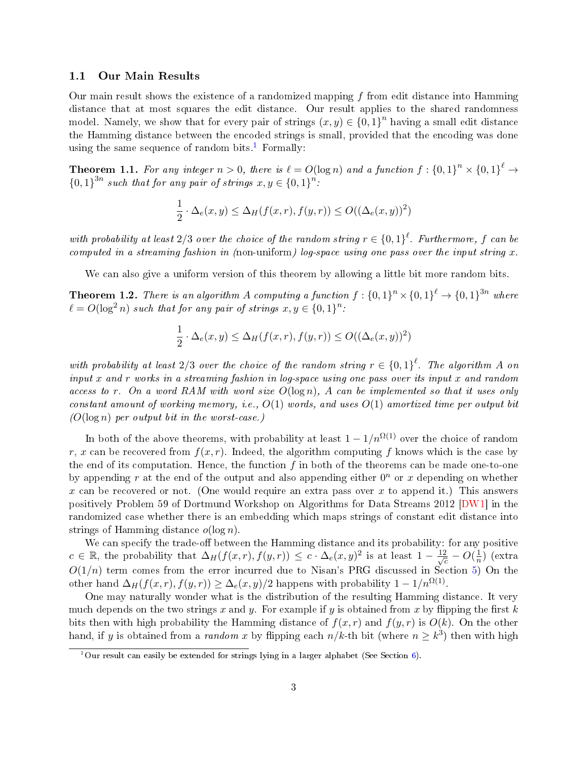#### 1.1 Our Main Results

Our main result shows the existence of a randomized mapping  $f$  from edit distance into Hamming distance that at most squares the edit distance. Our result applies to the shared randomness model. Namely, we show that for every pair of strings  $(x, y) \in \{0, 1\}^n$  having a small edit distance the Hamming distance between the encoded strings is small, provided that the encoding was done using the same sequence of random bits.<sup>[1](#page-2-0)</sup> Formally:

<span id="page-2-1"></span>**Theorem 1.1.** For any integer  $n > 0$ , there is  $\ell = O(\log n)$  and a function  $f : \{0,1\}^n \times \{0,1\}^{\ell} \rightarrow$  ${0,1}^{3n}$  such that for any pair of strings  $x, y \in {0,1}^n$ :

$$
\frac{1}{2} \cdot \Delta_e(x, y) \le \Delta_H(f(x, r), f(y, r)) \le O((\Delta_e(x, y))^2)
$$

with probability at least  $2/3$  over the choice of the random string  $r \in \{0,1\}^{\ell}$ . Furthermore, f can be computed in a streaming fashion in (non-uniform) log-space using one pass over the input string  $x$ .

We can also give a uniform version of this theorem by allowing a little bit more random bits.

<span id="page-2-2"></span>**Theorem 1.2.** There is an algorithm A computing a function  $f: \{0,1\}^n \times \{0,1\}^{\ell} \rightarrow \{0,1\}^{3n}$  where  $\ell = O(\log^2 n)$  such that for any pair of strings  $x, y \in \{0, 1\}^n$ .

$$
\frac{1}{2} \cdot \Delta_e(x, y) \le \Delta_H(f(x, r), f(y, r)) \le O((\Delta_e(x, y))^2)
$$

with probability at least  $2/3$  over the choice of the random string  $r \in \{0,1\}^{\ell}$ . The algorithm A on input x and r works in a streaming fashion in log-space using one pass over its input x and random access to r. On a word RAM with word size  $O(\log n)$ , A can be implemented so that it uses only constant amount of working memory, i.e.,  $O(1)$  words, and uses  $O(1)$  amortized time per output bit  $(O(\log n))$  per output bit in the worst-case.)

In both of the above theorems, with probability at least  $1 - 1/n^{\Omega(1)}$  over the choice of random r, x can be recovered from  $f(x, r)$ . Indeed, the algorithm computing f knows which is the case by the end of its computation. Hence, the function  $f$  in both of the theorems can be made one-to-one by appending r at the end of the output and also appending either  $0^n$  or x depending on whether x can be recovered or not. (One would require an extra pass over x to append it.) This answers positively Problem 59 of Dortmund Workshop on Algorithms for Data Streams 2012 [\[DW1\]](#page-24-2) in the randomized case whether there is an embedding which maps strings of constant edit distance into strings of Hamming distance  $o(\log n)$ .

We can specify the trade-off between the Hamming distance and its probability: for any positive  $c \in \mathbb{R}$ , the probability that  $\Delta_H(f(x,r),f(y,r)) \leq c \cdot \Delta_e(x,y)^2$  is at least  $1-\frac{12}{\sqrt{2}}$  $\frac{2}{c} - O(\frac{1}{n})$  $\frac{1}{n}$ ) (extra  $O(1/n)$  term comes from the error incurred due to Nisan's PRG discussed in Section [5\)](#page-13-0) On the other hand  $\Delta_H(f(x,r),f(y,r)) \geq \Delta_e(x,y)/2$  happens with probability  $1-1/n^{\Omega(1)}$ .

One may naturally wonder what is the distribution of the resulting Hamming distance. It very much depends on the two strings x and y. For example if y is obtained from x by flipping the first k bits then with high probability the Hamming distance of  $f(x, r)$  and  $f(y, r)$  is  $O(k)$ . On the other hand, if y is obtained from a *random* x by flipping each  $n/k$ -th bit (where  $n \geq k^3$ ) then with high

<span id="page-2-0"></span><sup>&</sup>lt;sup>1</sup>Our result can easily be extended for strings lying in a larger alphabet (See Section [6\)](#page-15-0).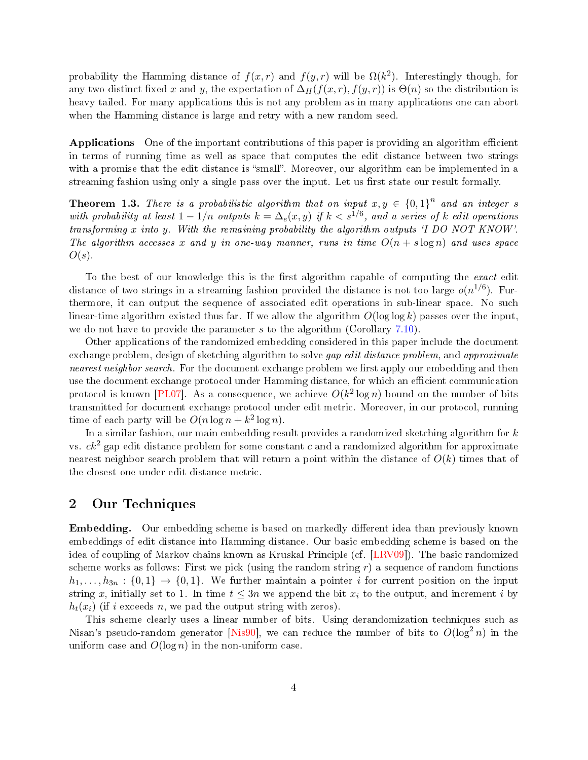probability the Hamming distance of  $f(x,r)$  and  $f(y,r)$  will be  $\Omega(k^2)$ . Interestingly though, for any two distinct fixed x and y, the expectation of  $\Delta_H(f(x,r), f(y,r))$  is  $\Theta(n)$  so the distribution is heavy tailed. For many applications this is not any problem as in many applications one can abort when the Hamming distance is large and retry with a new random seed.

Applications One of the important contributions of this paper is providing an algorithm efficient in terms of running time as well as space that computes the edit distance between two strings with a promise that the edit distance is "small". Moreover, our algorithm can be implemented in a streaming fashion using only a single pass over the input. Let us first state our result formally.

<span id="page-3-0"></span>**Theorem 1.3.** There is a probabilistic algorithm that on input  $x, y \in \{0,1\}^n$  and an integer s with probability at least  $1-1/n$  outputs  $k=\Delta_e(x,y)$  if  $k < s^{1/6},$  and a series of  $k$  edit operations transforming x into y. With the remaining probability the algorithm outputs `I DO NOT KNOW'. The algorithm accesses x and y in one-way manner, runs in time  $O(n + s \log n)$  and uses space  $O(s)$ .

To the best of our knowledge this is the first algorithm capable of computing the exact edit distance of two strings in a streaming fashion provided the distance is not too large  $o(n^{1/6})$ . Furthermore, it can output the sequence of associated edit operations in sub-linear space. No such linear-time algorithm existed thus far. If we allow the algorithm  $O(\log \log k)$  passes over the input. we do not have to provide the parameter s to the algorithm (Corollary [7.10\)](#page-21-0).

Other applications of the randomized embedding considered in this paper include the document exchange problem, design of sketching algorithm to solve gap edit distance problem, and approximate nearest neighbor search. For the document exchange problem we first apply our embedding and then use the document exchange protocol under Hamming distance, for which an efficient communication protocol is known [\[PL07\]](#page-25-1). As a consequence, we achieve  $O(k^2 \log n)$  bound on the number of bits transmitted for document exchange protocol under edit metric. Moreover, in our protocol, running time of each party will be  $O(n \log n + k^2 \log n)$ .

In a similar fashion, our main embedding result provides a randomized sketching algorithm for  $k$ vs.  $ck^2$  gap edit distance problem for some constant c and a randomized algorithm for approximate nearest neighbor search problem that will return a point within the distance of  $O(k)$  times that of the closest one under edit distance metric.

### 2 Our Techniques

**Embedding.** Our embedding scheme is based on markedly different idea than previously known embeddings of edit distance into Hamming distance. Our basic embedding scheme is based on the idea of coupling of Markov chains known as Kruskal Principle (cf. [\[LRV09\]](#page-24-3)). The basic randomized scheme works as follows: First we pick (using the random string  $r$ ) a sequence of random functions  $h_1, \ldots, h_{3n} : \{0,1\} \to \{0,1\}.$  We further maintain a pointer i for current position on the input string x, initially set to 1. In time  $t \leq 3n$  we append the bit  $x_i$  to the output, and increment i by  $h_t(x_i)$  (if i exceeds n, we pad the output string with zeros).

This scheme clearly uses a linear number of bits. Using derandomization techniques such as Nisan's pseudo-random generator [\[Nis90\]](#page-25-2), we can reduce the number of bits to  $O(\log^2 n)$  in the uniform case and  $O(\log n)$  in the non-uniform case.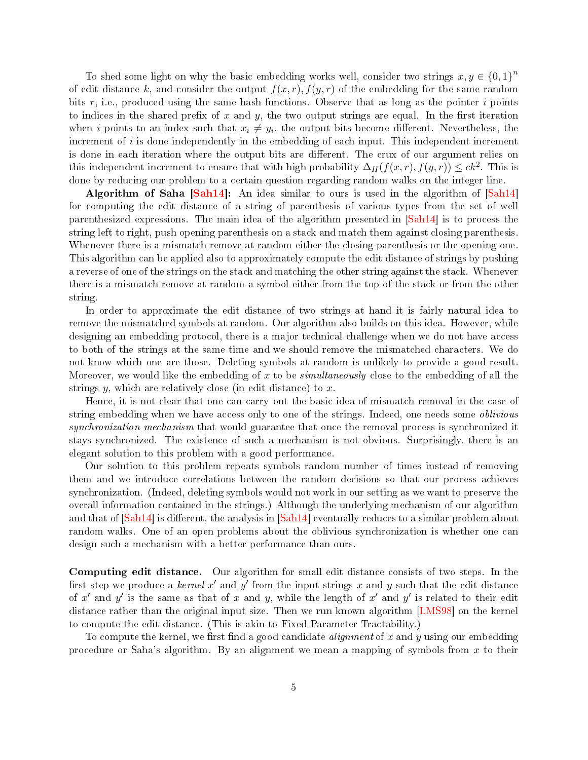To shed some light on why the basic embedding works well, consider two strings  $x, y \in \{0, 1\}^n$ of edit distance k, and consider the output  $f(x, r)$ ,  $f(y, r)$  of the embedding for the same random bits r, i.e., produced using the same hash functions. Observe that as long as the pointer i points to indices in the shared prefix of  $x$  and  $y$ , the two output strings are equal. In the first iteration when i points to an index such that  $x_i \neq y_i$ , the output bits become different. Nevertheless, the increment of  $i$  is done independently in the embedding of each input. This independent increment is done in each iteration where the output bits are different. The crux of our argument relies on this independent increment to ensure that with high probability  $\Delta_H(f(x,r), f(y,r)) \leq ck^2$ . This is done by reducing our problem to a certain question regarding random walks on the integer line.

**Algorithm of Saha [\[Sah14\]](#page-25-3):** An idea similar to ours is used in the algorithm of [Sah14] for computing the edit distance of a string of parenthesis of various types from the set of well parenthesized expressions. The main idea of the algorithm presented in [\[Sah14\]](#page-25-3) is to process the string left to right, push opening parenthesis on a stack and match them against closing parenthesis. Whenever there is a mismatch remove at random either the closing parenthesis or the opening one. This algorithm can be applied also to approximately compute the edit distance of strings by pushing a reverse of one of the strings on the stack and matching the other string against the stack. Whenever there is a mismatch remove at random a symbol either from the top of the stack or from the other string.

In order to approximate the edit distance of two strings at hand it is fairly natural idea to remove the mismatched symbols at random. Our algorithm also builds on this idea. However, while designing an embedding protocol, there is a major technical challenge when we do not have access to both of the strings at the same time and we should remove the mismatched characters. We do not know which one are those. Deleting symbols at random is unlikely to provide a good result. Moreover, we would like the embedding of  $x$  to be *simultaneously* close to the embedding of all the strings  $y$ , which are relatively close (in edit distance) to  $x$ .

Hence, it is not clear that one can carry out the basic idea of mismatch removal in the case of string embedding when we have access only to one of the strings. Indeed, one needs some *oblivious* synchronization mechanism that would guarantee that once the removal process is synchronized it stays synchronized. The existence of such a mechanism is not obvious. Surprisingly, there is an elegant solution to this problem with a good performance.

Our solution to this problem repeats symbols random number of times instead of removing them and we introduce correlations between the random decisions so that our process achieves synchronization. (Indeed, deleting symbols would not work in our setting as we want to preserve the overall information contained in the strings.) Although the underlying mechanism of our algorithm and that of  $\text{Sahl4}$  is different, the analysis in  $\text{Sahl4}$  eventually reduces to a similar problem about random walks. One of an open problems about the oblivious synchronization is whether one can design such a mechanism with a better performance than ours.

Computing edit distance. Our algorithm for small edit distance consists of two steps. In the first step we produce a *kernel*  $x'$  and  $y'$  from the input strings  $x$  and  $y$  such that the edit distance of  $x'$  and  $y'$  is the same as that of x and y, while the length of  $x'$  and  $y'$  is related to their edit distance rather than the original input size. Then we run known algorithm [\[LMS98\]](#page-24-4) on the kernel to compute the edit distance. (This is akin to Fixed Parameter Tractability.)

To compute the kernel, we first find a good candidate *alignment* of x and y using our embedding procedure or Saha's algorithm. By an alignment we mean a mapping of symbols from  $x$  to their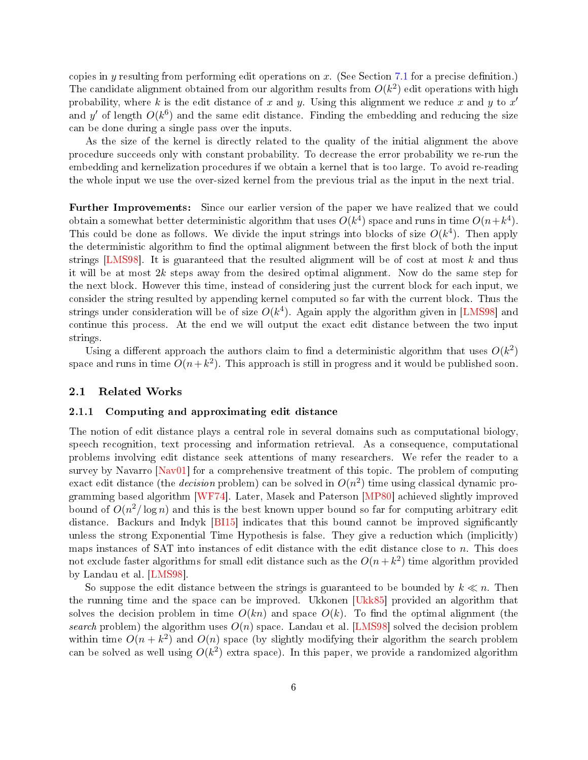copies in y resulting from performing edit operations on  $x$ . (See Section [7.1](#page-16-0) for a precise definition.) The candidate alignment obtained from our algorithm results from  $O(k^2)$  edit operations with high probability, where k is the edit distance of x and y. Using this alignment we reduce x and y to  $x'$ and  $y'$  of length  $O(k^6)$  and the same edit distance. Finding the embedding and reducing the size can be done during a single pass over the inputs.

As the size of the kernel is directly related to the quality of the initial alignment the above procedure succeeds only with constant probability. To decrease the error probability we re-run the embedding and kernelization procedures if we obtain a kernel that is too large. To avoid re-reading the whole input we use the over-sized kernel from the previous trial as the input in the next trial.

Further Improvements: Since our earlier version of the paper we have realized that we could obtain a somewhat better deterministic algorithm that uses  $O(k^4)$  space and runs in time  $O(n+k^4)$ . This could be done as follows. We divide the input strings into blocks of size  $O(k^4)$ . Then apply the deterministic algorithm to find the optimal alignment between the first block of both the input strings [\[LMS98\]](#page-24-4). It is guaranteed that the resulted alignment will be of cost at most  $k$  and thus it will be at most  $2k$  steps away from the desired optimal alignment. Now do the same step for the next block. However this time, instead of considering just the current block for each input, we consider the string resulted by appending kernel computed so far with the current block. Thus the strings under consideration will be of size  $O(k^4)$ . Again apply the algorithm given in [\[LMS98\]](#page-24-4) and continue this process. At the end we will output the exact edit distance between the two input strings.

Using a different approach the authors claim to find a deterministic algorithm that uses  $O(k^2)$ space and runs in time  $O(n+k^2)$ . This approach is still in progress and it would be published soon.

#### 2.1 Related Works

#### 2.1.1 Computing and approximating edit distance

The notion of edit distance plays a central role in several domains such as computational biology, speech recognition, text processing and information retrieval. As a consequence, computational problems involving edit distance seek attentions of many researchers. We refer the reader to a survey by Navarro [\[Nav01\]](#page-24-5) for a comprehensive treatment of this topic. The problem of computing exact edit distance (the *decision* problem) can be solved in  $O(n^2)$  time using classical dynamic programming based algorithm [\[WF74\]](#page-25-4). Later, Masek and Paterson [\[MP80\]](#page-24-6) achieved slightly improved bound of  $O(n^2/\log n)$  and this is the best known upper bound so far for computing arbitrary edit distance. Backurs and Indyk [\[BI15\]](#page-23-0) indicates that this bound cannot be improved significantly unless the strong Exponential Time Hypothesis is false. They give a reduction which (implicitly) maps instances of SAT into instances of edit distance with the edit distance close to  $n$ . This does not exclude faster algorithms for small edit distance such as the  $O(n+k^2)$  time algorithm provided by Landau et al. [\[LMS98\]](#page-24-4).

So suppose the edit distance between the strings is guaranteed to be bounded by  $k \ll n$ . Then the running time and the space can be improved. Ukkonen [\[Ukk85\]](#page-25-5) provided an algorithm that solves the decision problem in time  $O(kn)$  and space  $O(k)$ . To find the optimal alignment (the search problem) the algorithm uses  $O(n)$  space. Landau et al. [\[LMS98\]](#page-24-4) solved the decision problem within time  $O(n + k^2)$  and  $O(n)$  space (by slightly modifying their algorithm the search problem can be solved as well using  $O(k^2)$  extra space). In this paper, we provide a randomized algorithm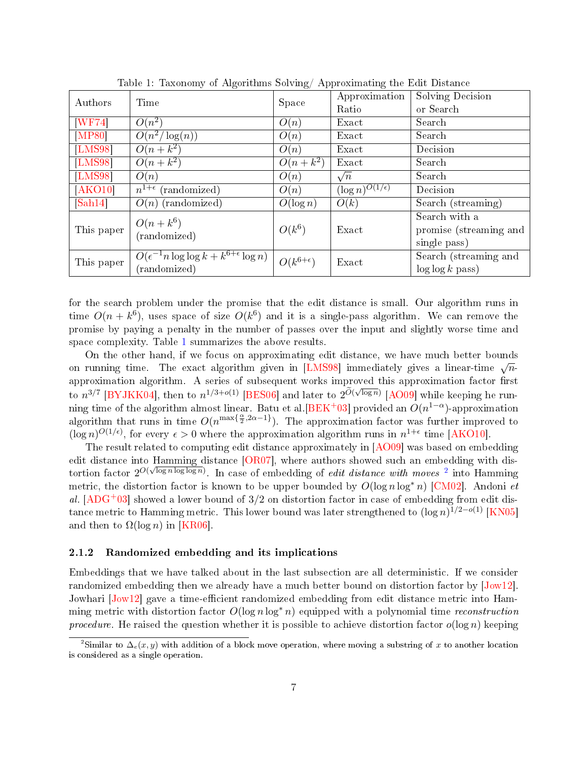| --------------- |                                                         |                     |                            |                        |
|-----------------|---------------------------------------------------------|---------------------|----------------------------|------------------------|
| Authors         | Time                                                    | <b>Space</b>        | Approximation              | Solving Decision       |
|                 |                                                         |                     | Ratio                      | or Search              |
| [WF74]          | $O(n^2)$                                                | O(n)                | Exact                      | Search                 |
| [MP80]          | $\overline{O(n^2/\log(n))}$                             | O(n)                | Exact                      | Search                 |
| [LMS98]         | $O(n+\overline{k^2})$                                   | O(n)                | Exact                      | Decision               |
| [LMS98]         | $O(n+k^2)$                                              | $O(n+k^2)$          | Exact                      | Search                 |
| <b>LMS98</b>    | O(n)                                                    | O(n)                | $\sqrt{n}$                 | Search                 |
| [AKO10]         | $n^{1+\epsilon}$ (randomized)                           | O(n)                | $(\log n)^{O(1/\epsilon)}$ | Decision               |
| Sah14           | $O(n)$ (randomized)                                     | $O(\log n)$         | O(k)                       | Search (streaming)     |
| This paper      | $O(n + k^6)$<br>(randomized)                            | $O(k^6)$            | Exact                      | Search with a          |
|                 |                                                         |                     |                            | promise (streaming and |
|                 |                                                         |                     |                            | single pass)           |
| This paper      | $O(\epsilon^{-1}n \log \log k + k^{6+\epsilon} \log n)$ | $O(k^{6+\epsilon})$ | Exact                      | Search (streaming and  |
|                 | randomized)                                             |                     |                            | $\log \log k$ pass)    |

<span id="page-6-0"></span>Table 1: Taxonomy of Algorithms Solving/ Approximating the Edit Distance

for the search problem under the promise that the edit distance is small. Our algorithm runs in time  $O(n+k^6)$ , uses space of size  $O(k^6)$  and it is a single-pass algorithm. We can remove the promise by paying a penalty in the number of passes over the input and slightly worse time and space complexity. Table [1](#page-6-0) summarizes the above results.

On the other hand, if we focus on approximating edit distance, we have much better bounds On the other hand, if we focus on approximating edit distance, we have much better bounds<br>on running time. The exact algorithm given in [\[LMS98\]](#page-24-4) immediately gives a linear-time  $\sqrt{n}$ approximation algorithm. A series of subsequent works improved this approximation factor first to  $n^{3/7}$  [\[BYJKK04\]](#page-23-1), then to  $n^{1/3+o(1)}$  [\[BES06\]](#page-23-5) and later to  $2^{\tilde{O}(\sqrt{\log n})}$  [\[AO09\]](#page-23-2) while keeping he run-ning time of the algorithm almost linear. Batu et al.[\[BEK](#page-23-6)<sup>+</sup>03] provided an  $O(n^{1-\alpha})$ -approximation algorithm that runs in time  $O(n^{\max\{\frac{\alpha}{2},2\alpha-1\}})$ . The approximation factor was further improved to  $(\log n)^{O(1/\epsilon)}$ , for every  $\epsilon > 0$  where the approximation algorithm runs in  $n^{1+\epsilon}$  time [\[AKO10\]](#page-23-4).

The result related to computing edit distance approximately in [\[AO09\]](#page-23-2) was based on embedding edit distance into  $\text{Hamming distance [OR07]}$  $\text{Hamming distance [OR07]}$  $\text{Hamming distance [OR07]}$ , where authors showed such an embedding with distortion factor  $2^{O(\sqrt{\log n \log \log n})}$  $2^{O(\sqrt{\log n \log \log n})}$ . In case of embedding of *edit distance with moves* <sup>2</sup> into Hamming metric, the distortion factor is known to be upper bounded by  $O(\log n \log^* n)$  [\[CM02\]](#page-23-7). Andoni *et* al.  $[ABC^{+}03]$  showed a lower bound of  $3/2$  on distortion factor in case of embedding from edit distance metric to Hamming metric. This lower bound was later strengthened to  $(\log n)^{1/2-o(1)}$  [\[KN05\]](#page-24-7) and then to  $\Omega(\log n)$  in [\[KR06\]](#page-24-8).

#### 2.1.2 Randomized embedding and its implications

Embeddings that we have talked about in the last subsection are all deterministic. If we consider randomized embedding then we already have a much better bound on distortion factor by [\[Jow12\]](#page-24-9). Jowhari [\[Jow12\]](#page-24-9) gave a time-efficient randomized embedding from edit distance metric into Hamming metric with distortion factor  $O(\log n \log^* n)$  equipped with a polynomial time *reconstruction* procedure. He raised the question whether it is possible to achieve distortion factor  $o(\log n)$  keeping

<span id="page-6-1"></span><sup>&</sup>lt;sup>2</sup>Similar to  $\Delta_e(x, y)$  with addition of a block move operation, where moving a substring of x to another location is considered as a single operation.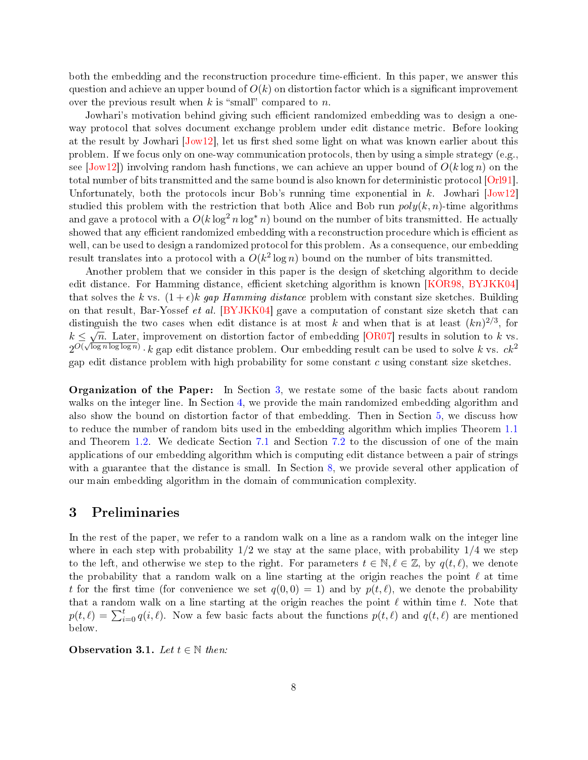both the embedding and the reconstruction procedure time-efficient. In this paper, we answer this question and achieve an upper bound of  $O(k)$  on distortion factor which is a significant improvement over the previous result when k is "small" compared to n.

Jowhari's motivation behind giving such efficient randomized embedding was to design a oneway protocol that solves document exchange problem under edit distance metric. Before looking at the result by Jowhari  $[Jow12]$ , let us first shed some light on what was known earlier about this problem. If we focus only on one-way communication protocols, then by using a simple strategy (e.g., see  $\overline{Jow12}$ ) involving random hash functions, we can achieve an upper bound of  $O(k \log n)$  on the total number of bits transmitted and the same bound is also known for deterministic protocol [\[Orl91\]](#page-25-6). Unfortunately, both the protocols incur Bob's running time exponential in  $k$ . Jowhari  $[Jow12]$ studied this problem with the restriction that both Alice and Bob run  $poly(k, n)$ -time algorithms and gave a protocol with a  $O(k \log^2 n \log^* n)$  bound on the number of bits transmitted. He actually showed that any efficient randomized embedding with a reconstruction procedure which is efficient as well, can be used to design a randomized protocol for this problem. As a consequence, our embedding result translates into a protocol with a  $O(k^2 \log n)$  bound on the number of bits transmitted.

Another problem that we consider in this paper is the design of sketching algorithm to decide edit distance. For Hamming distance, efficient sketching algorithm is known [\[KOR98,](#page-24-10) [BYJKK04\]](#page-23-1) that solves the k vs.  $(1 + \epsilon)k$  gap Hamming distance problem with constant size sketches. Building on that result, Bar-Yossef et al. [\[BYJKK04\]](#page-23-1) gave a computation of constant size sketch that can distinguish the two cases when edit distance is at most k and when that is at least  $(kn)^{2/3}$ , for distinguish the two cases when edit distance is at most k and when that is at least  $(kn)^{-\gamma}$ , for  $k \leq \sqrt{n}$ . Later, improvement on distortion factor of embedding [\[OR07\]](#page-25-0) results in solution to k vs.  $2^{O(\sqrt{\log n \log \log n})} \cdot k$  gap edit distance problem. Our embedding result can be used to solve k vs.  $ck^2$ gap edit distance problem with high probability for some constant  $c$  using constant size sketches.

Organization of the Paper: In Section [3,](#page-7-0) we restate some of the basic facts about random walks on the integer line. In Section [4,](#page-8-0) we provide the main randomized embedding algorithm and also show the bound on distortion factor of that embedding. Then in Section [5,](#page-13-0) we discuss how to reduce the number of random bits used in the embedding algorithm which implies Theorem [1.1](#page-2-1) and Theorem [1.2.](#page-2-2) We dedicate Section [7.1](#page-16-0) and Section [7.2](#page-17-0) to the discussion of one of the main applications of our embedding algorithm which is computing edit distance between a pair of strings with a guarantee that the distance is small. In Section [8,](#page-21-1) we provide several other application of our main embedding algorithm in the domain of communication complexity.

## <span id="page-7-0"></span>3 Preliminaries

In the rest of the paper, we refer to a random walk on a line as a random walk on the integer line where in each step with probability  $1/2$  we stay at the same place, with probability  $1/4$  we step to the left, and otherwise we step to the right. For parameters  $t \in \mathbb{N}, \ell \in \mathbb{Z}$ , by  $q(t, \ell)$ , we denote the probability that a random walk on a line starting at the origin reaches the point  $\ell$  at time t for the first time (for convenience we set  $q(0, 0) = 1$ ) and by  $p(t, \ell)$ , we denote the probability that a random walk on a line starting at the origin reaches the point  $\ell$  within time t. Note that  $p(t,\ell) = \sum_{i=0}^{t} q(i,\ell)$ . Now a few basic facts about the functions  $p(t,\ell)$  and  $q(t,\ell)$  are mentioned below.

<span id="page-7-1"></span>Observation 3.1. Let  $t \in \mathbb{N}$  then: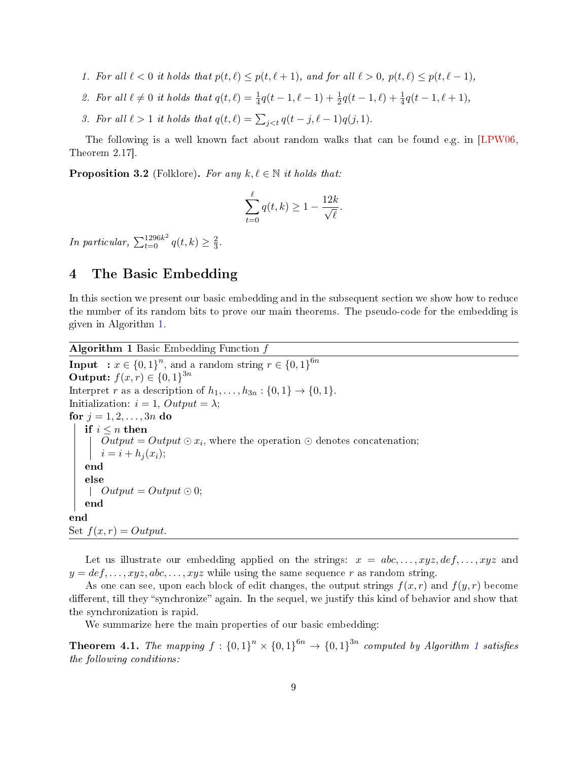- <span id="page-8-5"></span>1. For all  $\ell < 0$  it holds that  $p(t, \ell) \leq p(t, \ell + 1)$ , and for all  $\ell > 0$ ,  $p(t, \ell) \leq p(t, \ell - 1)$ ,
- <span id="page-8-4"></span>2. For all  $\ell \neq 0$  it holds that  $q(t, \ell) = \frac{1}{4}q(t - 1, \ell - 1) + \frac{1}{2}q(t - 1, \ell) + \frac{1}{4}q(t - 1, \ell + 1)$ ,
- <span id="page-8-6"></span>3. For all  $\ell > 1$  it holds that  $q(t, \ell) = \sum_{j < t} q(t - j, \ell - 1)q(j, 1)$ .

The following is a well known fact about random walks that can be found e.g. in [\[LPW06,](#page-24-11) Theorem 2.17].

<span id="page-8-3"></span>**Proposition 3.2** (Folklore). For any  $k, \ell \in \mathbb{N}$  it holds that:

$$
\sum_{t=0}^{\ell} q(t,k) \ge 1 - \frac{12k}{\sqrt{\ell}}.
$$

In particular,  $\sum_{t=0}^{1296k^2} q(t,k) \geq \frac{2}{3}$  $\frac{2}{3}$ .

# <span id="page-8-0"></span>4 The Basic Embedding

In this section we present our basic embedding and in the subsequent section we show how to reduce the number of its random bits to prove our main theorems. The pseudo-code for the embedding is given in Algorithm [1.](#page-8-1)

```
Algorithm 1 Basic Embedding Function f
```

```
Input : x \in \{0,1\}^n, and a random string r \in \{0,1\}^{6n}Output: f(x,r) \in \{0,1\}^{3n}Interpret r as a description of h_1, \ldots, h_{3n} : \{0, 1\} \rightarrow \{0, 1\}.Initialization: i = 1, Output = \lambda;
for j = 1, 2, ..., 3n do
   if i \leq n then
        Output = Output \odot x_i, where the operation \odot denotes concatenation;
     i = i + h_i(x_i);end
    else
    \int Output = Output \odot 0;
   end
end
Set f(x, r) = Output.
```
Let us illustrate our embedding applied on the strings:  $x = abc, \ldots, xyz, def, \ldots, xyz$  and  $y = def, \ldots, xyz, abc, \ldots, xyz$  while using the same sequence r as random string.

As one can see, upon each block of edit changes, the output strings  $f(x, r)$  and  $f(y, r)$  become different, till they "synchronize" again. In the sequel, we justify this kind of behavior and show that the synchronization is rapid.

We summarize here the main properties of our basic embedding:

<span id="page-8-2"></span>**Theorem 4.[1](#page-8-1).** The mapping  $f: \{0,1\}^n \times \{0,1\}^{6n} \rightarrow \{0,1\}^{3n}$  computed by Algorithm 1 satisfies the following conditions: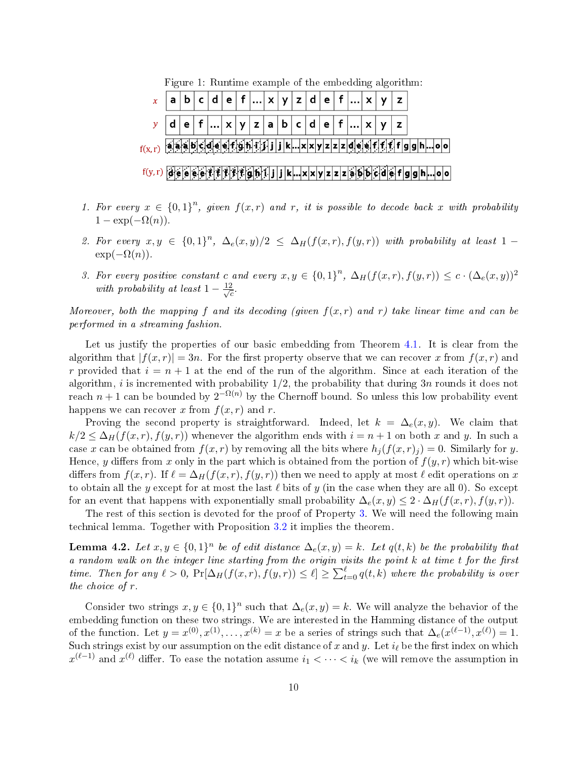

- 1. For every  $x \in \{0,1\}^n$ , given  $f(x,r)$  and r, it is possible to decode back x with probability  $1 - \exp(-\Omega(n)).$
- 2. For every  $x, y \in \{0,1\}^n$ ,  $\Delta_e(x, y)/2 \leq \Delta_H(f(x, r), f(y, r))$  with probability at least 1  $\exp(-\Omega(n)).$
- <span id="page-9-0"></span>3. For every positive constant c and every  $x, y \in \{0,1\}^n$ ,  $\Delta_H(f(x,r), f(y,r)) \leq c \cdot (\Delta_e(x,y))^2$ with probability at least  $1-\frac{12}{\sqrt{2}}$  $\frac{2}{c}$ .

Moreover, both the mapping f and its decoding (given  $f(x,r)$  and r) take linear time and can be performed in a streaming fashion.

Let us justify the properties of our basic embedding from Theorem [4.1.](#page-8-2) It is clear from the algorithm that  $|f(x, r)| = 3n$ . For the first property observe that we can recover x from  $f(x, r)$  and r provided that  $i = n + 1$  at the end of the run of the algorithm. Since at each iteration of the algorithm, i is incremented with probability  $1/2$ , the probability that during  $3n$  rounds it does not reach  $n+1$  can be bounded by  $2^{-\Omega(n)}$  by the Chernoff bound. So unless this low probability event happens we can recover x from  $f(x, r)$  and r.

Proving the second property is straightforward. Indeed, let  $k = \Delta_e(x, y)$ . We claim that  $k/2 \leq \Delta_H(f(x,r), f(y,r))$  whenever the algorithm ends with  $i = n + 1$  on both x and y. In such a case x can be obtained from  $f(x, r)$  by removing all the bits where  $h_i(f(x, r)_i) = 0$ . Similarly for y. Hence, y differs from x only in the part which is obtained from the portion of  $f(y, r)$  which bit-wise differs from  $f(x, r)$ . If  $\ell = \Delta_H(f(x, r), f(y, r))$  then we need to apply at most  $\ell$  edit operations on x to obtain all the y except for at most the last  $\ell$  bits of y (in the case when they are all 0). So except for an event that happens with exponentially small probability  $\Delta_e(x, y) \leq 2 \cdot \Delta_H(f(x, r), f(y, r)).$ 

The rest of this section is devoted for the proof of Property [3.](#page-9-0) We will need the following main technical lemma. Together with Proposition [3.2](#page-8-3) it implies the theorem.

<span id="page-9-1"></span>**Lemma 4.2.** Let  $x, y \in \{0, 1\}^n$  be of edit distance  $\Delta_e(x, y) = k$ . Let  $q(t, k)$  be the probability that a random walk on the integer line starting from the origin visits the point  $k$  at time  $t$  for the first time. Then for any  $\ell > 0$ ,  $Pr[\Delta_H(f(x,r), f(y,r)) \leq \ell] \geq \sum_{t=0}^{\ell} q(t,k)$  where the probability is over the choice of r.

Consider two strings  $x, y \in \{0,1\}^n$  such that  $\Delta_e(x, y) = k$ . We will analyze the behavior of the embedding function on these two strings. We are interested in the Hamming distance of the output of the function. Let  $y = x^{(0)}, x^{(1)}, \ldots, x^{(k)} = x$  be a series of strings such that  $\Delta_e(x^{(\ell-1)}, x^{(\ell)}) = 1$ . Such strings exist by our assumption on the edit distance of x and y. Let  $i_\ell$  be the first index on which  $x^{(\ell-1)}$  and  $x^{(\ell)}$  differ. To ease the notation assume  $i_1 < \cdots < i_k$  (we will remove the assumption in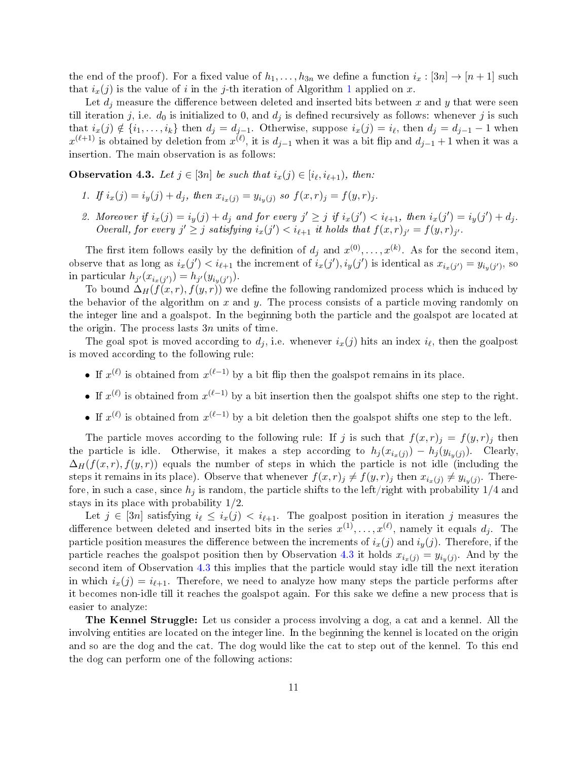the end of the proof). For a fixed value of  $h_1, \ldots, h_{3n}$  we define a function  $i_x : [3n] \to [n+1]$  such that  $i_x(j)$  is the value of i in the j-th iteration of Algorithm [1](#page-8-1) applied on x.

Let  $d_i$  measure the difference between deleted and inserted bits between x and y that were seen till iteration j, i.e.  $d_0$  is initialized to 0, and  $d_i$  is defined recursively as follows: whenever j is such that  $i_x(j) \notin \{i_1, \ldots, i_k\}$  then  $d_j = d_{j-1}$ . Otherwise, suppose  $i_x(j) = i_\ell$ , then  $d_j = d_{j-1} - 1$  when  $x^{(\ell+1)}$  is obtained by deletion from  $x^{(\ell)}$ , it is  $d_{j-1}$  when it was a bit flip and  $d_{j-1}+1$  when it was a insertion. The main observation is as follows:

<span id="page-10-0"></span>**Observation 4.3.** Let  $j \in [3n]$  be such that  $i_x(j) \in [i_\ell, i_{\ell+1})$ , then:

- 1. If  $i_x(j) = i_y(j) + d_j$ , then  $x_{i_x(j)} = y_{i_y(j)}$  so  $f(x,r)_j = f(y,r)_j$ .
- 2. Moreover if  $i_x(j) = i_y(j) + d_j$  and for every  $j' \geq j$  if  $i_x(j') < i_{\ell+1}$ , then  $i_x(j') = i_y(j') + d_j$ . Overall, for every  $j' \geq j$  satisfying  $i_x(j') < i_{\ell+1}$  it holds that  $f(x,r)_{j'} = f(y,r)_{j'}$ .

The first item follows easily by the definition of  $d_j$  and  $x^{(0)}, \ldots, x^{(k)}$ . As for the second item, observe that as long as  $i_x(j') < i_{\ell+1}$  the increment of  $i_x(j'), i_y(j')$  is identical as  $x_{i_x(j')} = y_{i_y(j')}$ , so in particular  $h_{j'}(x_{i_x(j')}) = h_{j'}(y_{i_y(j')})$ .

To bound  $\Delta_H(f(x,r), f(y,r))$  we define the following randomized process which is induced by the behavior of the algorithm on  $x$  and  $y$ . The process consists of a particle moving randomly on the integer line and a goalspot. In the beginning both the particle and the goalspot are located at the origin. The process lasts  $3n$  units of time.

The goal spot is moved according to  $d_j$ , i.e. whenever  $i_x(j)$  hits an index  $i_\ell$ , then the goalpost is moved according to the following rule:

- If  $x^{(\ell)}$  is obtained from  $x^{(\ell-1)}$  by a bit flip then the goalspot remains in its place.
- If  $x^{(\ell)}$  is obtained from  $x^{(\ell-1)}$  by a bit insertion then the goalspot shifts one step to the right.
- If  $x^{(\ell)}$  is obtained from  $x^{(\ell-1)}$  by a bit deletion then the goalspot shifts one step to the left.

The particle moves according to the following rule: If j is such that  $f(x, r)_j = f(y, r)_j$  then the particle is idle. Otherwise, it makes a step according to  $h_j(x_{i_x(j)}) - h_j(y_{i_y(j)})$ . Clearly,  $\Delta_H(f(x,r), f(y,r))$  equals the number of steps in which the particle is not idle (including the steps it remains in its place). Observe that whenever  $f(x,r)_j \neq f(y,r)_j$  then  $x_{i_x(j)} \neq y_{i_y(j)}$ . Therefore, in such a case, since  $h_j$  is random, the particle shifts to the left/right with probability  $1/4$  and stays in its place with probability 1/2.

Let  $j \in [3n]$  satisfying  $i_{\ell} \leq i_{x}(j) < i_{\ell+1}$ . The goalpost position in iteration j measures the difference between deleted and inserted bits in the series  $x^{(1)}, \ldots, x^{(\ell)},$  namely it equals  $d_j$ . The particle position measures the difference between the increments of  $i_x(j)$  and  $i_y(j)$ . Therefore, if the particle reaches the goalspot position then by Observation [4.3](#page-10-0) it holds  $x_{i_x(j)} = y_{i_y(j)}$ . And by the second item of Observation [4.3](#page-10-0) this implies that the particle would stay idle till the next iteration in which  $i_x(j) = i_{\ell+1}$ . Therefore, we need to analyze how many steps the particle performs after it becomes non-idle till it reaches the goalspot again. For this sake we dene a new process that is easier to analyze:

The Kennel Struggle: Let us consider a process involving a dog, a cat and a kennel. All the involving entities are located on the integer line. In the beginning the kennel is located on the origin and so are the dog and the cat. The dog would like the cat to step out of the kennel. To this end the dog can perform one of the following actions: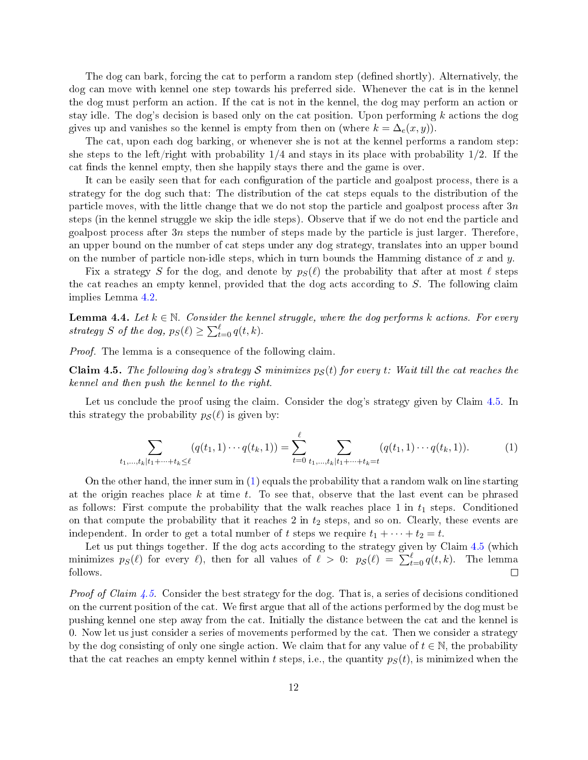The dog can bark, forcing the cat to perform a random step (defined shortly). Alternatively, the dog can move with kennel one step towards his preferred side. Whenever the cat is in the kennel the dog must perform an action. If the cat is not in the kennel, the dog may perform an action or stay idle. The dog's decision is based only on the cat position. Upon performing  $k$  actions the dog gives up and vanishes so the kennel is empty from then on (where  $k = \Delta_e(x, y)$ ).

The cat, upon each dog barking, or whenever she is not at the kennel performs a random step: she steps to the left/right with probability  $1/4$  and stays in its place with probability  $1/2$ . If the cat finds the kennel empty, then she happily stays there and the game is over.

It can be easily seen that for each configuration of the particle and goalpost process, there is a strategy for the dog such that: The distribution of the cat steps equals to the distribution of the particle moves, with the little change that we do not stop the particle and goalpost process after  $3n$ steps (in the kennel struggle we skip the idle steps). Observe that if we do not end the particle and goalpost process after  $3n$  steps the number of steps made by the particle is just larger. Therefore, an upper bound on the number of cat steps under any dog strategy, translates into an upper bound on the number of particle non-idle steps, which in turn bounds the Hamming distance of  $x$  and  $y$ .

Fix a strategy S for the dog, and denote by  $p_S(\ell)$  the probability that after at most  $\ell$  steps the cat reaches an empty kennel, provided that the dog acts according to  $S$ . The following claim implies Lemma [4.2.](#page-9-1)

**Lemma 4.4.** Let  $k \in \mathbb{N}$ . Consider the kennel struggle, where the dog performs k actions. For every strategy S of the dog,  $p_S(\ell) \ge \sum_{t=0}^{\ell} q(t, k)$ .

Proof. The lemma is a consequence of the following claim.

<span id="page-11-0"></span>Claim 4.5. The following dog's strategy S minimizes  $p<sub>S</sub>(t)$  for every t: Wait till the cat reaches the kennel and then push the kennel to the right.

Let us conclude the proof using the claim. Consider the dog's strategy given by Claim [4.5.](#page-11-0) In this strategy the probability  $p_{\mathcal{S}}(\ell)$  is given by:

<span id="page-11-1"></span>
$$
\sum_{t_1,\ldots,t_k|t_1+\cdots+t_k\leq \ell} (q(t_1,1)\cdots q(t_k,1))=\sum_{t=0}^{\ell} \sum_{t_1,\ldots,t_k|t_1+\cdots+t_k=t} (q(t_1,1)\cdots q(t_k,1)).
$$
 (1)

On the other hand, the inner sum in [\(1\)](#page-11-1) equals the probability that a random walk on line starting at the origin reaches place  $k$  at time  $t$ . To see that, observe that the last event can be phrased as follows: First compute the probability that the walk reaches place 1 in  $t_1$  steps. Conditioned on that compute the probability that it reaches  $2$  in  $t_2$  steps, and so on. Clearly, these events are independent. In order to get a total number of t steps we require  $t_1 + \cdots + t_2 = t$ .

Let us put things together. If the dog acts according to the strategy given by Claim [4.5](#page-11-0) (which minimizes  $p_S(\ell)$  for every  $\ell$ ), then for all values of  $\ell > 0$ :  $p_S(\ell) = \sum_{t=0}^{\ell} q(t, k)$ . The lemma follows.  $\Box$ 

*Proof of Claim [4.5.](#page-11-0)* Consider the best strategy for the dog. That is, a series of decisions conditioned on the current position of the cat. We first argue that all of the actions performed by the dog must be pushing kennel one step away from the cat. Initially the distance between the cat and the kennel is 0. Now let us just consider a series of movements performed by the cat. Then we consider a strategy by the dog consisting of only one single action. We claim that for any value of  $t \in \mathbb{N}$ , the probability that the cat reaches an empty kennel within t steps, i.e., the quantity  $p<sub>S</sub>(t)$ , is minimized when the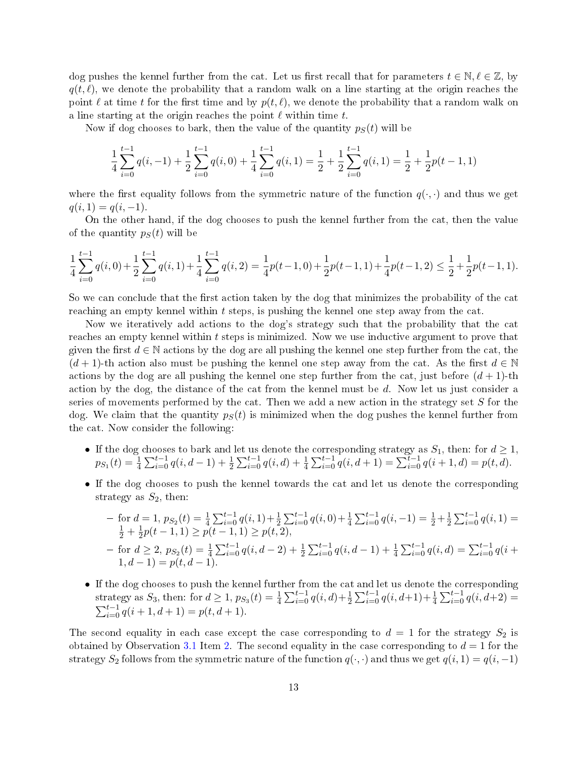dog pushes the kennel further from the cat. Let us first recall that for parameters  $t \in \mathbb{N}, \ell \in \mathbb{Z}$ , by  $q(t, \ell)$ , we denote the probability that a random walk on a line starting at the origin reaches the point  $\ell$  at time t for the first time and by  $p(t, \ell)$ , we denote the probability that a random walk on a line starting at the origin reaches the point  $\ell$  within time t.

Now if dog chooses to bark, then the value of the quantity  $p<sub>S</sub>(t)$  will be

$$
\frac{1}{4} \sum_{i=0}^{t-1} q(i, -1) + \frac{1}{2} \sum_{i=0}^{t-1} q(i, 0) + \frac{1}{4} \sum_{i=0}^{t-1} q(i, 1) = \frac{1}{2} + \frac{1}{2} \sum_{i=0}^{t-1} q(i, 1) = \frac{1}{2} + \frac{1}{2} p(t - 1, 1)
$$

where the first equality follows from the symmetric nature of the function  $q(\cdot, \cdot)$  and thus we get  $q(i, 1) = q(i, -1).$ 

On the other hand, if the dog chooses to push the kennel further from the cat, then the value of the quantity  $p_S(t)$  will be

$$
\frac{1}{4}\sum_{i=0}^{t-1}q(i,0)+\frac{1}{2}\sum_{i=0}^{t-1}q(i,1)+\frac{1}{4}\sum_{i=0}^{t-1}q(i,2)=\frac{1}{4}p(t-1,0)+\frac{1}{2}p(t-1,1)+\frac{1}{4}p(t-1,2)\leq \frac{1}{2}+\frac{1}{2}p(t-1,1).
$$

So we can conclude that the first action taken by the dog that minimizes the probability of the cat reaching an empty kennel within  $t$  steps, is pushing the kennel one step away from the cat.

Now we iteratively add actions to the dog's strategy such that the probability that the cat reaches an empty kennel within t steps is minimized. Now we use inductive argument to prove that given the first  $d \in \mathbb{N}$  actions by the dog are all pushing the kennel one step further from the cat, the  $(d+1)$ -th action also must be pushing the kennel one step away from the cat. As the first  $d \in \mathbb{N}$ actions by the dog are all pushing the kennel one step further from the cat, just before  $(d+1)$ -th action by the dog, the distance of the cat from the kennel must be  $d$ . Now let us just consider a series of movements performed by the cat. Then we add a new action in the strategy set  $S$  for the dog. We claim that the quantity  $p<sub>S</sub>(t)$  is minimized when the dog pushes the kennel further from the cat. Now consider the following:

- If the dog chooses to bark and let us denote the corresponding strategy as  $S_1$ , then: for  $d\geq 1,$  $p_{S_1}(t) = \frac{1}{4} \sum_{i=0}^{t-1} q(i, d-1) + \frac{1}{2} \sum_{i=0}^{t-1} q(i, d) + \frac{1}{4} \sum_{i=0}^{t-1} q(i, d+1) = \sum_{i=0}^{t-1} q(i+1, d) = p(t, d).$
- If the dog chooses to push the kennel towards the cat and let us denote the corresponding strategy as  $S_2$ , then:

- for 
$$
d = 1
$$
,  $p_{S_2}(t) = \frac{1}{4} \sum_{i=0}^{t-1} q(i, 1) + \frac{1}{2} \sum_{i=0}^{t-1} q(i, 0) + \frac{1}{4} \sum_{i=0}^{t-1} q(i, -1) = \frac{1}{2} + \frac{1}{2} \sum_{i=0}^{t-1} q(i, 1) = \frac{1}{2} + \frac{1}{2} p(t - 1, 1) \ge p(t - 1, 1) \ge p(t, 2),$   
\n- for  $d \ge 2$ ,  $p_{S_2}(t) = \frac{1}{4} \sum_{i=0}^{t-1} q(i, d - 2) + \frac{1}{2} \sum_{i=0}^{t-1} q(i, d - 1) + \frac{1}{4} \sum_{i=0}^{t-1} q(i, d) = \sum_{i=0}^{t-1} q(i + 1, d - 1) = p(t, d - 1).$ 

• If the dog chooses to push the kennel further from the cat and let us denote the corresponding strategy as  $S_3$ , then: for  $d \geq 1$ ,  $p_{S_3}(t) = \frac{1}{4} \sum_{i=0}^{t-1} q(i, d) + \frac{1}{2} \sum_{i=0}^{t-1} q(i, d+1) + \frac{1}{4} \sum_{i=0}^{t-1} q(i, d+2) =$  $\sum_{i=0}^{t-1} q(i+1, d+1) = p(t, d+1).$ 

The second equality in each case except the case corresponding to  $d = 1$  for the strategy  $S_2$  is obtained by Observation [3.1](#page-7-1) Item [2.](#page-8-4) The second equality in the case corresponding to  $d = 1$  for the strategy  $S_2$  follows from the symmetric nature of the function  $q(\cdot, \cdot)$  and thus we get  $q(i, 1) = q(i, -1)$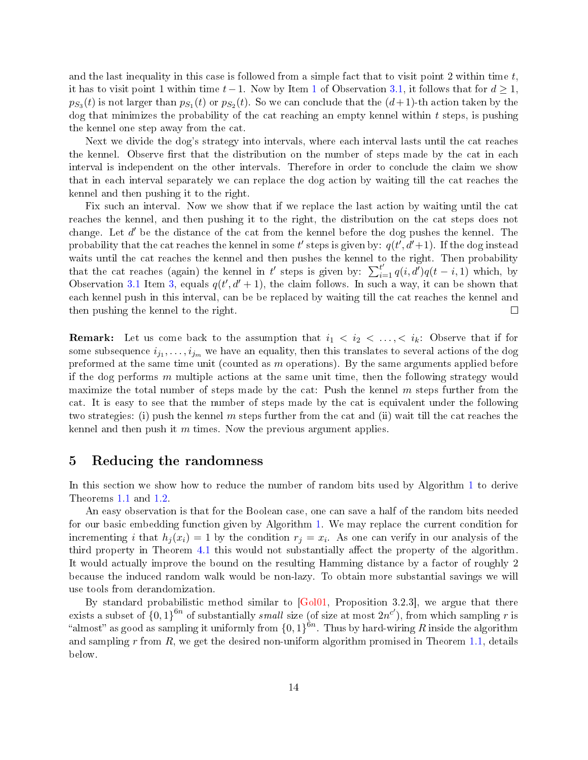and the last inequality in this case is followed from a simple fact that to visit point 2 within time  $t$ , it has to visit point [1](#page-8-5) within time  $t-1$ . Now by Item 1 of Observation [3.1,](#page-7-1) it follows that for  $d \geq 1$ ,  $p_{S_3}(t)$  is not larger than  $p_{S_1}(t)$  or  $p_{S_2}(t)$ . So we can conclude that the  $(d+1)$ -th action taken by the  $\log$  that minimizes the probability of the cat reaching an empty kennel within t steps, is pushing the kennel one step away from the cat.

Next we divide the dog's strategy into intervals, where each interval lasts until the cat reaches the kennel. Observe first that the distribution on the number of steps made by the cat in each interval is independent on the other intervals. Therefore in order to conclude the claim we show that in each interval separately we can replace the dog action by waiting till the cat reaches the kennel and then pushing it to the right.

Fix such an interval. Now we show that if we replace the last action by waiting until the cat reaches the kennel, and then pushing it to the right, the distribution on the cat steps does not change. Let  $d'$  be the distance of the cat from the kennel before the dog pushes the kennel. The probability that the cat reaches the kennel in some  $t'$  steps is given by:  $q(t', d'+1)$ . If the dog instead waits until the cat reaches the kennel and then pushes the kennel to the right. Then probability that the cat reaches (again) the kennel in t' steps is given by:  $\sum_{i=1}^{t'} q(i, d')q(t - i, 1)$  which, by Observation [3.1](#page-7-1) Item [3,](#page-8-6) equals  $q(t', d' + 1)$ , the claim follows. In such a way, it can be shown that each kennel push in this interval, can be be replaced by waiting till the cat reaches the kennel and then pushing the kennel to the right.  $\Box$ 

**Remark:** Let us come back to the assumption that  $i_1 < i_2 < \ldots, i_k$ . Observe that if for some subsequence  $i_{j_1},\ldots,i_{j_m}$  we have an equality, then this translates to several actions of the dog preformed at the same time unit (counted as  $m$  operations). By the same arguments applied before if the dog performs  $m$  multiple actions at the same unit time, then the following strategy would maximize the total number of steps made by the cat: Push the kennel  $m$  steps further from the cat. It is easy to see that the number of steps made by the cat is equivalent under the following two strategies: (i) push the kennel  $m$  steps further from the cat and (ii) wait till the cat reaches the kennel and then push it  $m$  times. Now the previous argument applies.

### <span id="page-13-0"></span>5 Reducing the randomness

In this section we show how to reduce the number of random bits used by Algorithm [1](#page-8-1) to derive Theorems [1.1](#page-2-1) and [1.2.](#page-2-2)

An easy observation is that for the Boolean case, one can save a half of the random bits needed for our basic embedding function given by Algorithm [1.](#page-8-1) We may replace the current condition for incrementing *i* that  $h_j(x_i) = 1$  by the condition  $r_j = x_i$ . As one can verify in our analysis of the third property in Theorem  $4.1$  this would not substantially affect the property of the algorithm. It would actually improve the bound on the resulting Hamming distance by a factor of roughly 2 because the induced random walk would be non-lazy. To obtain more substantial savings we will use tools from derandomization.

By standard probabilistic method similar to  $[Gol01,$  Proposition 3.2.3, we argue that there exists a subset of  $\{0,1\}^{6n}$  of substantially small size (of size at most  $2n^{c'}$ ), from which sampling r is "almost" as good as sampling it uniformly from  $\{0,1\}^{\hat{6}n}$  . Thus by hard-wiring  $R$  inside the algorithm and sampling r from  $R$ , we get the desired non-uniform algorithm promised in Theorem [1.1,](#page-2-1) details below.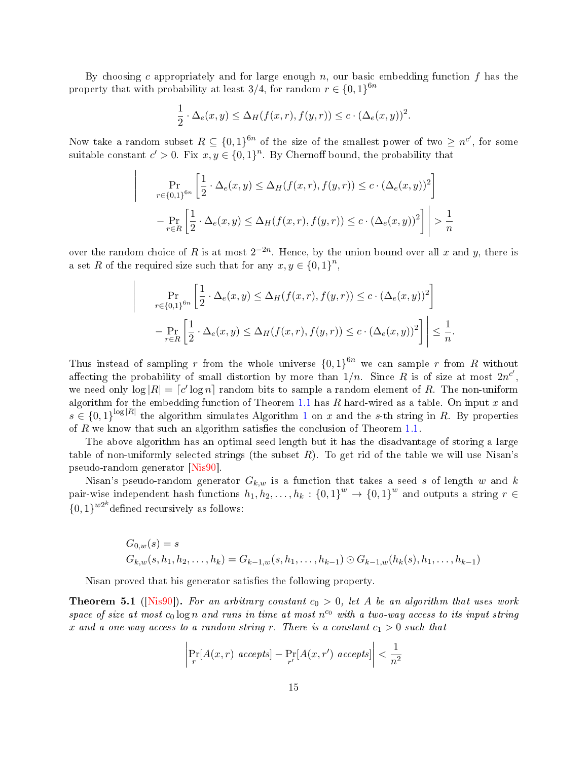By choosing c appropriately and for large enough  $n$ , our basic embedding function  $f$  has the property that with probability at least 3/4, for random  $r \in \{0,1\}^{6n}$ 

$$
\frac{1}{2} \cdot \Delta_e(x, y) \le \Delta_H(f(x, r), f(y, r)) \le c \cdot (\Delta_e(x, y))^2.
$$

Now take a random subset  $R \subseteq \{0,1\}^{6n}$  of the size of the smallest power of two  $\geq n^{c'}$ , for some suitable constant  $c' > 0$ . Fix  $x, y \in \{0, 1\}^n$ . By Chernoff bound, the probability that

> $\overline{\phantom{a}}$  $\Big\}$  $\bigg\}$  $\Big\}$  $\begin{array}{c} \end{array}$

 $\bigg\}$  $\bigg\}$  $\Big\}$  $\bigg\}$  $\vert$ 

$$
\Pr_{r \in \{0,1\}^{6n}} \left[ \frac{1}{2} \cdot \Delta_e(x, y) \le \Delta_H(f(x, r), f(y, r)) \le c \cdot (\Delta_e(x, y))^2 \right]
$$

$$
- \Pr_{r \in R} \left[ \frac{1}{2} \cdot \Delta_e(x, y) \le \Delta_H(f(x, r), f(y, r)) \le c \cdot (\Delta_e(x, y))^2 \right] \ge \frac{1}{n}
$$

over the random choice of R is at most  $2^{-2n}$ . Hence, by the union bound over all x and y, there is a set R of the required size such that for any  $x, y \in \{0, 1\}^n$ ,

$$
\Pr_{r \in \{0,1\}^{6n}} \left[ \frac{1}{2} \cdot \Delta_e(x, y) \le \Delta_H(f(x, r), f(y, r)) \le c \cdot (\Delta_e(x, y))^2 \right]
$$
  
- 
$$
\Pr_{r \in R} \left[ \frac{1}{2} \cdot \Delta_e(x, y) \le \Delta_H(f(x, r), f(y, r)) \le c \cdot (\Delta_e(x, y))^2 \right] \le \frac{1}{n}.
$$

Thus instead of sampling r from the whole universe  $\{0,1\}^{6n}$  we can sample r from R without affecting the probability of small distortion by more than  $1/n$ . Since R is of size at most  $2n^{c'}$ , we need only  $\log |R| = \lceil c' \log n \rceil$  random bits to sample a random element of R. The non-uniform algorithm for the embedding function of Theorem [1.1](#page-2-1) has  $R$  hard-wired as a table. On input  $x$  and  $s \in \{0,1\}^{\log |R|}$  $s \in \{0,1\}^{\log |R|}$  $s \in \{0,1\}^{\log |R|}$  the algorithm simulates Algorithm 1 on x and the s-th string in R. By properties of  $R$  we know that such an algorithm satisfies the conclusion of Theorem [1.1.](#page-2-1)

The above algorithm has an optimal seed length but it has the disadvantage of storing a large table of non-uniformly selected strings (the subset  $R$ ). To get rid of the table we will use Nisan's pseudo-random generator [\[Nis90\]](#page-25-2).

Nisan's pseudo-random generator  $G_{k,w}$  is a function that takes a seed s of length w and k pair-wise independent hash functions  $h_1, h_2, \ldots, h_k: \{0,1\}^w \rightarrow \{0,1\}^w$  and outputs a string  $r \in$  ${0,1}^{w2^k}$  defined recursively as follows:

$$
G_{0,w}(s) = s
$$
  
\n
$$
G_{k,w}(s, h_1, h_2, \dots, h_k) = G_{k-1,w}(s, h_1, \dots, h_{k-1}) \odot G_{k-1,w}(h_k(s), h_1, \dots, h_{k-1})
$$

Nisan proved that his generator satisfies the following property.

<span id="page-14-0"></span>**Theorem 5.1** ([\[Nis90\]](#page-25-2)). For an arbitrary constant  $c_0 > 0$ , let A be an algorithm that uses work space of size at most  $c_0 \log n$  and runs in time at most  $n^{c_0}$  with a two-way access to its input string x and a one-way access to a random string r. There is a constant  $c_1 > 0$  such that

$$
\left| \Pr_r[A(x,r) \text{ accepts}] - \Pr_{r'}[A(x,r') \text{ accepts}] \right| < \frac{1}{n^2}
$$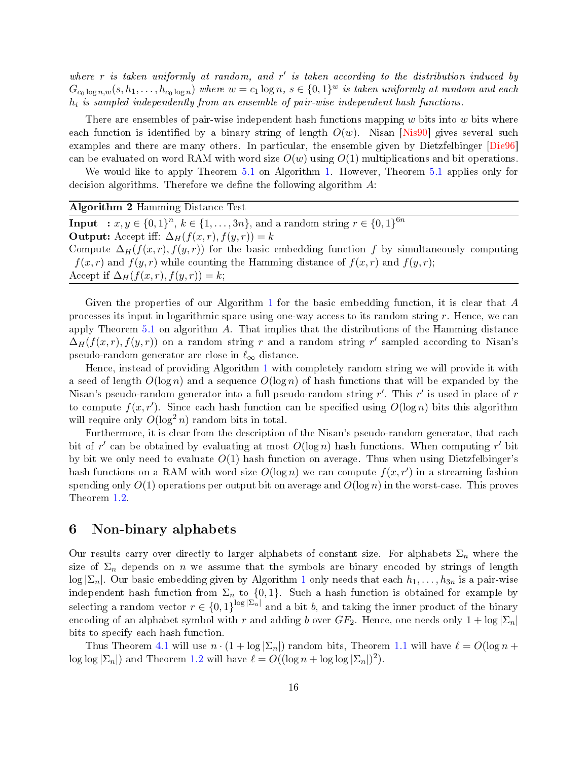where  $r$  is taken uniformly at random, and  $r'$  is taken according to the distribution induced by  $G_{c_0 \log n, w}(s, h_1, \ldots, h_{c_0 \log n})$  where  $w = c_1 \log n, s \in \{0,1\}^w$  is taken uniformly at random and each  $h_i$  is sampled independently from an ensemble of pair-wise independent hash functions.

There are ensembles of pair-wise independent hash functions mapping  $w$  bits into  $w$  bits where each function is identified by a binary string of length  $O(w)$ . Nisan [\[Nis90\]](#page-25-2) gives several such examples and there are many others. In particular, the ensemble given by Dietzfelbinger [\[Die96\]](#page-23-9) can be evaluated on word RAM with word size  $O(w)$  using  $O(1)$  multiplications and bit operations.

We would like to apply Theorem [5.1](#page-14-0) on Algorithm [1.](#page-8-1) However, Theorem [5.1](#page-14-0) applies only for decision algorithms. Therefore we define the following algorithm  $A$ :

| <b>Algorithm 2 Hamming Distance Test</b>                                                            |
|-----------------------------------------------------------------------------------------------------|
| <b>Input</b> : $x, y \in \{0, 1\}^n, k \in \{1, , 3n\}$ , and a random string $r \in \{0, 1\}^{bn}$ |
| <b>Output:</b> Accept iff: $\Delta_H(f(x,r), f(y,r)) = k$                                           |
| Compute $\Delta_H(f(x,r),f(y,r))$ for the basic embedding function f by simultaneously computing    |
| $f(x,r)$ and $f(y,r)$ while counting the Hamming distance of $f(x,r)$ and $f(y,r)$ ;                |
| Accept if $\Delta_H(f(x,r),f(y,r))=k$ ;                                                             |

Given the properties of our Algorithm [1](#page-8-1) for the basic embedding function, it is clear that A processes its input in logarithmic space using one-way access to its random string  $r$ . Hence, we can apply Theorem  $5.1$  on algorithm  $A$ . That implies that the distributions of the Hamming distance  $\Delta_H(f(x,r), f(y,r))$  on a random string r and a random string r' sampled according to Nisan's pseudo-random generator are close in  $\ell_{\infty}$  distance.

Hence, instead of providing Algorithm [1](#page-8-1) with completely random string we will provide it with a seed of length  $O(\log n)$  and a sequence  $O(\log n)$  of hash functions that will be expanded by the Nisan's pseudo-random generator into a full pseudo-random string  $r'$ . This  $r'$  is used in place of  $r$ to compute  $f(x, r')$ . Since each hash function can be specified using  $O(\log n)$  bits this algorithm will require only  $O(\log^2 n)$  random bits in total.

Furthermore, it is clear from the description of the Nisan's pseudo-random generator, that each bit of r' can be obtained by evaluating at most  $O(\log n)$  hash functions. When computing r' bit by bit we only need to evaluate  $O(1)$  hash function on average. Thus when using Dietzfelbinger's hash functions on a RAM with word size  $O(\log n)$  we can compute  $f(x, r')$  in a streaming fashion spending only  $O(1)$  operations per output bit on average and  $O(\log n)$  in the worst-case. This proves Theorem [1.2.](#page-2-2)

### <span id="page-15-0"></span>6 Non-binary alphabets

Our results carry over directly to larger alphabets of constant size. For alphabets  $\Sigma_n$  where the size of  $\Sigma_n$  depends on n we assume that the symbols are binary encoded by strings of length  $\log |\Sigma_n|$ . Our basic embedding given by Algorithm [1](#page-8-1) only needs that each  $h_1, \ldots, h_{3n}$  is a pair-wise independent hash function from  $\Sigma_n$  to  $\{0,1\}$ . Such a hash function is obtained for example by selecting a random vector  $r \in \{0,1\}^{\log |\Sigma_n|}$  and a bit b, and taking the inner product of the binary encoding of an alphabet symbol with r and adding b over  $GF_2$ . Hence, one needs only  $1 + \log |\Sigma_n|$ bits to specify each hash function.

Thus Theorem [4.1](#page-8-2) will use  $n \cdot (1 + \log |\Sigma_n|)$  random bits, Theorem [1.1](#page-2-1) will have  $\ell = O(\log n +$ log log  $|\Sigma_n|$ ) and Theorem [1.2](#page-2-2) will have  $\ell = O((\log n + \log \log |\Sigma_n|)^2)$ .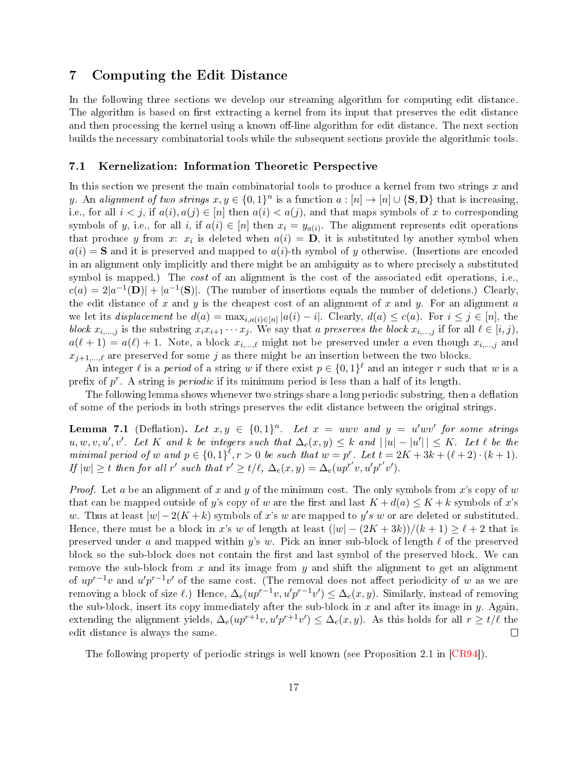# 7 Computing the Edit Distance

In the following three sections we develop our streaming algorithm for computing edit distance. The algorithm is based on first extracting a kernel from its input that preserves the edit distance and then processing the kernel using a known off-line algorithm for edit distance. The next section builds the necessary combinatorial tools while the subsequent sections provide the algorithmic tools.

#### <span id="page-16-0"></span>7.1 Kernelization: Information Theoretic Perspective

In this section we present the main combinatorial tools to produce a kernel from two strings  $x$  and y. An alignment of two strings  $x, y \in \{0,1\}^n$  is a function  $a : [n] \to [n] \cup \{\mathbf{S}, \mathbf{D}\}\$  that is increasing, i.e., for all  $i < j$ , if  $a(i)$ ,  $a(j) \in [n]$  then  $a(i) < a(j)$ , and that maps symbols of x to corresponding symbols of y, i.e., for all i, if  $a(i) \in [n]$  then  $x_i = y_{a(i)}$ . The alignment represents edit operations that produce y from x:  $x_i$  is deleted when  $a(i) = \mathbf{D}$ , it is substituted by another symbol when  $a(i) = S$  and it is preserved and mapped to  $a(i)$ -th symbol of y otherwise. (Insertions are encoded in an alignment only implicitly and there might be an ambiguity as to where precisely a substituted symbol is mapped.) The *cost* of an alignment is the cost of the associated edit operations, i.e.,  $c(a) = 2|a^{-1}(D)| + |a^{-1}(S)|$ . (The number of insertions equals the number of deletions.) Clearly, the edit distance of x and y is the cheapest cost of an alignment of x and y. For an alignment  $\alpha$ we let its *displacement* be  $d(a) = \max_{i,a(i) \in [n]} |a(i) - i|$ . Clearly,  $d(a) \le c(a)$ . For  $i \le j \in [n]$ , the block  $x_{i,\dots,j}$  is the substring  $x_ix_{i+1}\cdots x_j$ . We say that a preserves the block  $x_{i,\dots,j}$  if for all  $\ell \in [i,j)$ ,  $a(\ell + 1) = a(\ell) + 1$ . Note, a block  $x_{i,\dots,\ell}$  might not be preserved under a even though  $x_{i,\dots,j}$  and  $x_{i+1,\dots,\ell}$  are preserved for some j as there might be an insertion between the two blocks.

An integer  $\ell$  is a *period* of a string w if there exist  $p \in \{0,1\}^{\ell}$  and an integer r such that w is a prefix of  $p^r$ . A string is *periodic* if its minimum period is less than a half of its length.

The following lemma shows whenever two strings share a long periodic substring, then a deflation of some of the periods in both strings preserves the edit distance between the original strings.

<span id="page-16-1"></span>**Lemma 7.1** (Deflation). Let  $x, y \in \{0, 1\}^n$ . Let  $x = uwv$  and  $y = u'wv'$  for some strings  $u, w, v, u', v'$ . Let K and k be integers such that  $\Delta_e(x, y) \leq k$  and  $||u| - |u'|| \leq K$ . Let  $\ell$  be the minimal period of w and  $p \in \{0,1\}^{\ell}, r > 0$  be such that  $w = p^r$ . Let  $t = 2K + 3k + (\ell + 2) \cdot (k + 1)$ . If  $|w| \ge t$  then for all r' such that  $r' \ge t/\ell$ ,  $\Delta_e(x, y) = \Delta_e(upr'v, u'p^{r'}v')$ .

*Proof.* Let a be an alignment of x and y of the minimum cost. The only symbols from x's copy of w that can be mapped outside of y's copy of w are the first and last  $K + d(a) \leq K + k$  symbols of x's w. Thus at least  $|w| - 2(K + k)$  symbols of x's w are mapped to  $y's w$  or are deleted or substituted. Hence, there must be a block in x's w of length at least  $(|w| - (2K + 3k))/(k + 1) \ge \ell + 2$  that is preserved under a and mapped within y's w. Pick an inner sub-block of length  $\ell$  of the preserved block so the sub-block does not contain the first and last symbol of the preserved block. We can remove the sub-block from  $x$  and its image from  $y$  and shift the alignment to get an alignment of  $up^{r-1}v$  and  $u'p^{r-1}v'$  of the same cost. (The removal does not affect periodicity of w as we are removing a block of size  $\ell$ .) Hence,  $\Delta_e(up^{r-1}v, u'p^{r-1}v') \leq \Delta_e(x, y)$ . Similarly, instead of removing the sub-block, insert its copy immediately after the sub-block in  $x$  and after its image in  $y$ . Again, extending the alignment yields,  $\Delta_e(up^{r+1}v, u'p^{r+1}v') \leq \Delta_e(x, y)$ . As this holds for all  $r \geq t/\ell$  the edit distance is always the same.  $\Box$ 

The following property of periodic strings is well known (see Proposition 2.1 in [\[CR94\]](#page-23-10)).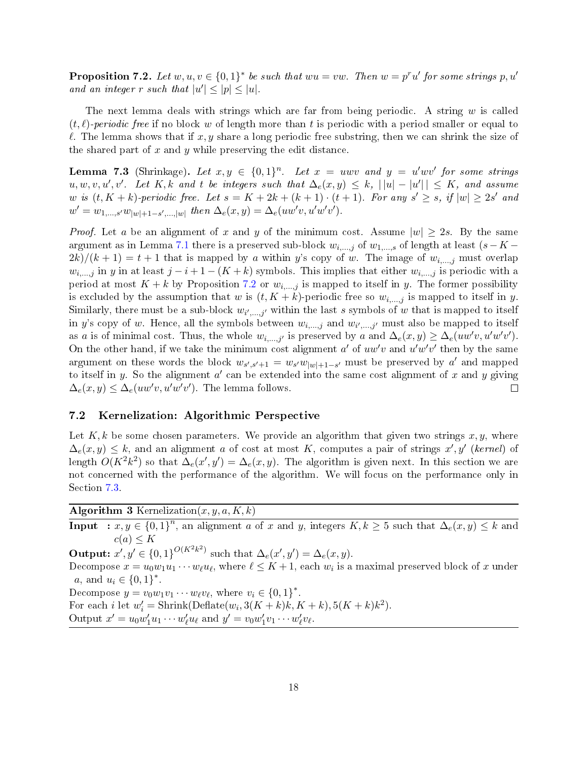<span id="page-17-1"></span>**Proposition 7.2.** Let  $w, u, v \in \{0, 1\}^*$  be such that  $wu = vw$ . Then  $w = p^r u'$  for some strings p, u' and an integer r such that  $|u'| \leq |p| \leq |u|$ .

The next lemma deals with strings which are far from being periodic. A string  $w$  is called  $(t, \ell)$ -periodic free if no block w of length more than t is periodic with a period smaller or equal to  $\ell$ . The lemma shows that if x, y share a long periodic free substring, then we can shrink the size of the shared part of  $x$  and  $y$  while preserving the edit distance.

<span id="page-17-2"></span>**Lemma 7.3** (Shrinkage). Let  $x, y \in \{0, 1\}^n$ . Let  $x = uwv$  and  $y = u'wv'$  for some strings  $u, w, v, u', v'$ . Let K, k and t be integers such that  $\Delta_e(x, y) \leq k$ ,  $||u| - |u'|| \leq K$ , and assume w is  $(t, K + k)$ -periodic free. Let  $s = K + 2k + (k + 1) \cdot (t + 1)$ . For any  $s' \geq s$ , if  $|w| \geq 2s'$  and  $w' = w_{1,...,s'}w_{|w|+1-s',...,|w|}$  then  $\Delta_e(x,y) = \Delta_e(uw'v, u'w'v')$ .

*Proof.* Let a be an alignment of x and y of the minimum cost. Assume  $|w| \geq 2s$ . By the same argument as in Lemma [7.1](#page-16-1) there is a preserved sub-block  $w_{i,\dots,j}$  of  $w_{1,\dots,s}$  of length at least  $(s-K 2k/(k+1) = t+1$  that is mapped by a within y's copy of w. The image of  $w_{i,\dots,j}$  must overlap  $w_{i,\dots,j}$  in y in at least  $j-i+1-(K+k)$  symbols. This implies that either  $w_{i,\dots,j}$  is periodic with a period at most  $K + k$  by Proposition [7.2](#page-17-1) or  $w_{i,\dots,j}$  is mapped to itself in y. The former possibility is excluded by the assumption that w is  $(t, K + k)$ -periodic free so  $w_{i, \dots, j}$  is mapped to itself in y. Similarly, there must be a sub-block  $w_{i',...,j'}$  within the last s symbols of w that is mapped to itself in y's copy of w. Hence, all the symbols between  $w_{i,...,j}$  and  $w_{i',...,j'}$  must also be mapped to itself as a is of minimal cost. Thus, the whole  $w_{i,...,j'}$  is preserved by a and  $\Delta_e(x,y) \geq \Delta_e(uw'v, u'w'v')$ . On the other hand, if we take the minimum cost alignment  $a'$  of  $uw'v$  and  $u'w'v'$  then by the same argument on these words the block  $w_{s',s'+1} = w_{s'}w_{|w|+1-s'}$  must be preserved by a' and mapped to itself in y. So the alignment  $a'$  can be extended into the same cost alignment of x and y giving  $\Delta_e(x, y) \leq \Delta_e(uw'v, u'w'v')$ . The lemma follows.  $\Box$ 

### <span id="page-17-0"></span>7.2 Kernelization: Algorithmic Perspective

Let  $K, k$  be some chosen parameters. We provide an algorithm that given two strings  $x, y$ , where  $\Delta_e(x,y) \leq k$ , and an alignment a of cost at most K, computes a pair of strings  $x', y'$  (kernel) of length  $O(K^2k^2)$  so that  $\Delta_e(x', y') = \Delta_e(x, y)$ . The algorithm is given next. In this section we are not concerned with the performance of the algorithm. We will focus on the performance only in Section [7.3.](#page-19-0)

Algorithm 3 Kernelization $(x, y, a, K, k)$ 

**Input** :  $x, y \in \{0,1\}^n$ , an alignment a of x and y, integers  $K, k \geq 5$  such that  $\Delta_e(x, y) \leq k$  and  $c(a) \leq K$ 

**Output:**  $x', y' \in \{0, 1\}^{O(K^2 k^2)}$  such that  $\Delta_e(x', y') = \Delta_e(x, y)$ .

Decompose  $x = u_0w_1u_1 \cdots w_\ell u_\ell$ , where  $\ell \leq K + 1$ , each  $w_i$  is a maximal preserved block of x under *a*, and  $u_i \in \{0, 1\}^*$ .

Decompose  $y = v_0w_1v_1 \cdots w_\ell v_\ell$ , where  $v_i \in \{0, 1\}^*$ . For each *i* let  $w'_i = \text{Shrink}(\text{Deflate}(w_i, 3(K + k)k, K + k), 5(K + k)k^2)$ . Output  $x' = u_0 w'_1 u_1 \cdots w'_{\ell} u_{\ell}$  and  $y' = v_0 w'_1 v_1 \cdots w'_{\ell} v_{\ell}$ .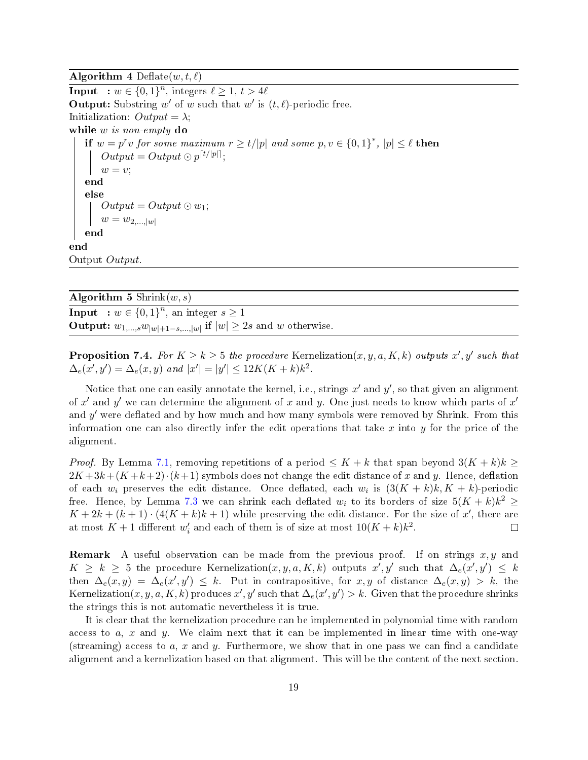<span id="page-18-1"></span>Algorithm 4 Deflate $(w, t, \ell)$ 

Input :  $w \in \{0,1\}^n$ , integers  $\ell \geq 1, t > 4\ell$ **Output:** Substring  $w'$  of  $w$  such that  $w'$  is  $(t, \ell)$ -periodic free. Initialization:  $Output = \lambda$ ; while w is non-empty do if  $w = p^r v$  for some maximum  $r \ge t/|p|$  and some  $p, v \in \{0, 1\}^*, |p| \le \ell$  then  $Output = Output \odot p^{\lceil t / |p| \rceil};$  $w = v$ ; end else  $Output = Output \odot w_1;$  $w = w_{2,...,|w|}$ end end Output Output.

Algorithm 5 Shrink $(w, s)$ **Input** :  $w \in \{0,1\}^n$ , an integer  $s \geq 1$ Output:  $w_{1,\dots,s}w_{|w|+1-s,\dots,|w|}$  if  $|w|\geq 2s$  and w otherwise.

<span id="page-18-0"></span>**Proposition 7.4.** For  $K \ge k \ge 5$  the procedure Kernelization $(x, y, a, K, k)$  outputs  $x', y'$  such that  $\Delta_e(x', y') = \Delta_e(x, y)$  and  $|x'| = |y'| \leq 12K(K + k)k^2$ .

Notice that one can easily annotate the kernel, i.e., strings  $x'$  and  $y'$ , so that given an alignment of  $x'$  and  $y'$  we can determine the alignment of  $x$  and  $y$ . One just needs to know which parts of  $x'$ and  $y'$  were deflated and by how much and how many symbols were removed by Shrink. From this information one can also directly infer the edit operations that take x into  $y$  for the price of the alignment.

*Proof.* By Lemma [7.1,](#page-16-1) removing repetitions of a period  $\leq K + k$  that span beyond  $3(K + k)k \geq$  $2K+3k+(K+k+2)\cdot(k+1)$  symbols does not change the edit distance of x and y. Hence, deflation of each  $w_i$  preserves the edit distance. Once deflated, each  $w_i$  is  $(3(K + k)k, K + k)$ -periodic free. Hence, by Lemma [7.3](#page-17-2) we can shrink each deflated  $w_i$  to its borders of size  $5(K+k)k^2 \geq$  $K + 2k + (k + 1) \cdot (4(K + k)k + 1)$  while preserving the edit distance. For the size of x', there are at most  $K + 1$  different  $w'_i$  and each of them is of size at most  $10(K + k)k^2$ .  $\Box$ 

**Remark** A useful observation can be made from the previous proof. If on strings  $x, y$  and  $K \geq k \geq 5$  the procedure Kernelization $(x, y, a, K, k)$  outputs  $x', y'$  such that  $\Delta_e(x', y') \leq k$ then  $\Delta_e(x, y) = \Delta_e(x', y') \leq k$ . Put in contrapositive, for x, y of distance  $\Delta_e(x, y) > k$ , the Kernelization $(x,y,a,K,k)$  produces  $x',y'$  such that  $\Delta_e(x',y')>k.$  Given that the procedure shrinks the strings this is not automatic nevertheless it is true.

It is clear that the kernelization procedure can be implemented in polynomial time with random access to  $a, x$  and  $y$ . We claim next that it can be implemented in linear time with one-way (streaming) access to  $a, x$  and  $y$ . Furthermore, we show that in one pass we can find a candidate alignment and a kernelization based on that alignment. This will be the content of the next section.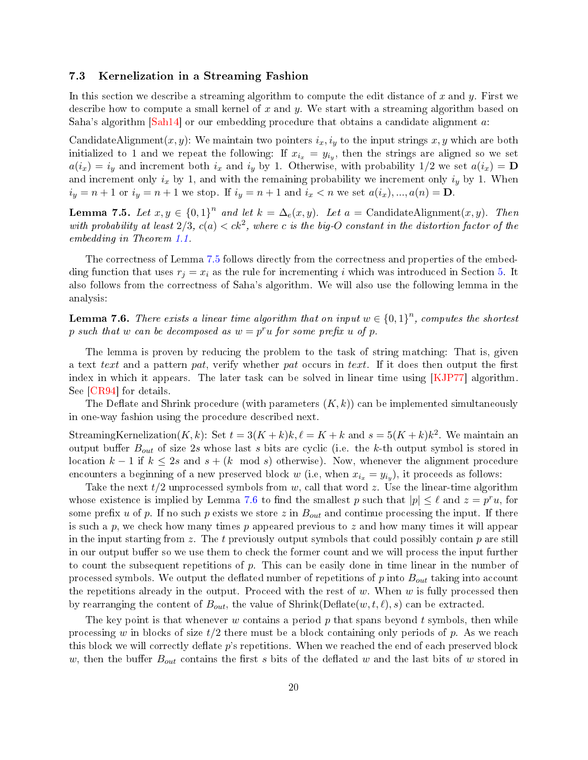#### <span id="page-19-0"></span>7.3 Kernelization in a Streaming Fashion

In this section we describe a streaming algorithm to compute the edit distance of x and y. First we describe how to compute a small kernel of x and y. We start with a streaming algorithm based on Saha's algorithm  $\lceil \text{Sah14} \rceil$  or our embedding procedure that obtains a candidate alignment a:

CandidateAlignment $(x, y)$ : We maintain two pointers  $i_x, i_y$  to the input strings x, y which are both initialized to 1 and we repeat the following: If  $x_{i_x} = y_{i_y}$ , then the strings are aligned so we set  $a(i_x) = i_y$  and increment both  $i_x$  and  $i_y$  by 1. Otherwise, with probability 1/2 we set  $a(i_x) = D$ and increment only  $i_x$  by 1, and with the remaining probability we increment only  $i_y$  by 1. When  $i_y = n + 1$  or  $i_y = n + 1$  we stop. If  $i_y = n + 1$  and  $i_x < n$  we set  $a(i_x), ..., a(n) = D$ .

<span id="page-19-1"></span>**Lemma 7.5.** Let  $x, y \in \{0, 1\}^n$  and let  $k = \Delta_e(x, y)$ . Let  $a = \text{Candidate}$  Alignment $(x, y)$ . Then with probability at least  $2/3$ ,  $c(a) < ck^2$ , where c is the big-O constant in the distortion factor of the embedding in Theorem [1.1.](#page-2-1)

The correctness of Lemma [7.5](#page-19-1) follows directly from the correctness and properties of the embedding function that uses  $r_i = x_i$  as the rule for incrementing i which was introduced in Section [5.](#page-13-0) It also follows from the correctness of Saha's algorithm. We will also use the following lemma in the analysis:

<span id="page-19-2"></span>**Lemma 7.6.** There exists a linear time algorithm that on input  $w \in \{0,1\}^n$ , computes the shortest p such that w can be decomposed as  $w = p^r u$  for some prefix u of p.

The lemma is proven by reducing the problem to the task of string matching: That is, given a text text and a pattern pat, verify whether pat occurs in text. If it does then output the first index in which it appears. The later task can be solved in linear time using [\[KJP77\]](#page-24-13) algorithm. See [\[CR94\]](#page-23-10) for details.

The Deflate and Shrink procedure (with parameters  $(K, k)$ ) can be implemented simultaneously in one-way fashion using the procedure described next.

StreamingKernelization $(K, k)$ : Set  $t = 3(K + k)k, \ell = K + k$  and  $s = 5(K + k)k^2$ . We maintain an output buffer  $B_{out}$  of size 2s whose last s bits are cyclic (i.e. the k-th output symbol is stored in location  $k-1$  if  $k \leq 2s$  and  $s+(k \mod s)$  otherwise). Now, whenever the alignment procedure encounters a beginning of a new preserved block  $w$  (i.e, when  $x_{i_x} = y_{i_y}$ ), it proceeds as follows:

Take the next  $t/2$  unprocessed symbols from w, call that word z. Use the linear-time algorithm whose existence is implied by Lemma [7.6](#page-19-2) to find the smallest p such that  $|p| \leq \ell$  and  $z = p^r u$ , for some prefix u of p. If no such p exists we store z in  $B_{out}$  and continue processing the input. If there is such a  $p$ , we check how many times  $p$  appeared previous to  $z$  and how many times it will appear in the input starting from z. The t previously output symbols that could possibly contain p are still in our output buffer so we use them to check the former count and we will process the input further to count the subsequent repetitions of  $p$ . This can be easily done in time linear in the number of processed symbols. We output the deflated number of repetitions of  $p$  into  $B_{out}$  taking into account the repetitions already in the output. Proceed with the rest of  $w$ . When  $w$  is fully processed then by rearranging the content of  $B_{out}$ , the value of Shrink(Deflate(w, t,  $\ell$ ), s) can be extracted.

The key point is that whenever w contains a period p that spans beyond t symbols, then while processing w in blocks of size  $t/2$  there must be a block containing only periods of p. As we reach this block we will correctly deflate p's repetitions. When we reached the end of each preserved block w, then the buffer  $B_{out}$  contains the first s bits of the deflated w and the last bits of w stored in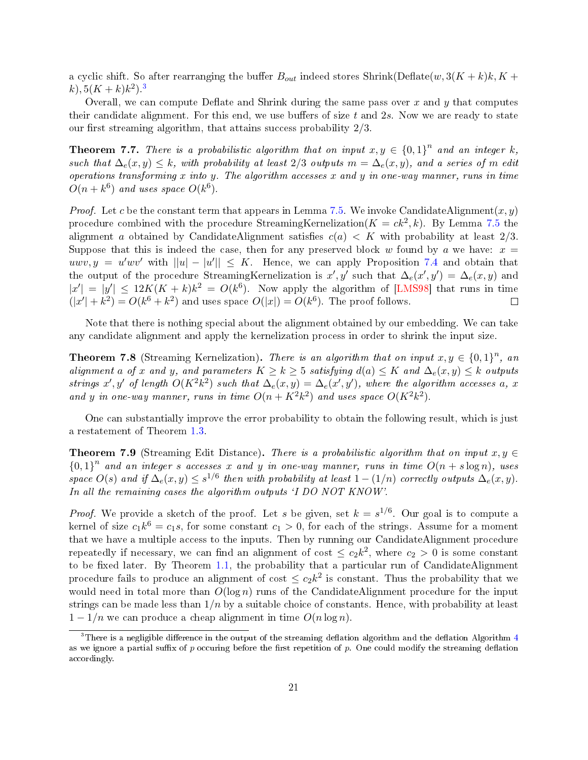a cyclic shift. So after rearranging the buffer  $B_{out}$  indeed stores Shrink(Deflate(w, 3(K + k)k, K +  $(k)$ , 5 $(K + k)k^2$ )<sup>[3](#page-20-0)</sup>

Overall, we can compute Deflate and Shrink during the same pass over  $x$  and  $y$  that computes their candidate alignment. For this end, we use buffers of size  $t$  and  $2s$ . Now we are ready to state our first streaming algorithm, that attains success probability  $2/3$ .

<span id="page-20-1"></span>**Theorem 7.7.** There is a probabilistic algorithm that on input  $x, y \in \{0,1\}^n$  and an integer k, such that  $\Delta_e(x, y) \leq k$ , with probability at least 2/3 outputs  $m = \Delta_e(x, y)$ , and a series of m edit operations transforming x into y. The algorithm accesses x and y in one-way manner, runs in time  $O(n+k^6)$  and uses space  $O(k^6)$ .

*Proof.* Let c be the constant term that appears in Lemma [7.5.](#page-19-1) We invoke CandidateAlignment $(x, y)$ procedure combined with the procedure StreamingKernelization( $K = ck^2, k$ ). By Lemma [7.5](#page-19-1) the alignment a obtained by CandidateAlignment satisfies  $c(a) < K$  with probability at least 2/3. Suppose that this is indeed the case, then for any preserved block w found by a we have:  $x =$  $uvw, y = u'wv'$  with  $||u| - |u'|| \leq K$ . Hence, we can apply Proposition [7.4](#page-18-0) and obtain that the output of the procedure StreamingKernelization is  $x', y'$  such that  $\Delta_e(x', y') = \Delta_e(x, y)$  and  $|x'| = |y'| \leq 12K(K + k)k^2 = O(k^6)$ . Now apply the algorithm of [\[LMS98\]](#page-24-4) that runs in time  $(|x'| + k^2) = O(k^6 + k^2)$  and uses space  $O(|x|) = O(k^6)$ . The proof follows.  $\Box$ 

Note that there is nothing special about the alignment obtained by our embedding. We can take any candidate alignment and apply the kernelization process in order to shrink the input size.

**Theorem 7.8** (Streaming Kernelization). There is an algorithm that on input  $x, y \in \{0, 1\}^n$ , an alignment a of x and y, and parameters  $K \ge k \ge 5$  satisfying  $d(a) \le K$  and  $\Delta_e(x, y) \le k$  outputs strings x', y' of length  $O(K^2k^2)$  such that  $\Delta_e(x,y) = \Delta_e(x',y')$ , where the algorithm accesses a, x and y in one-way manner, runs in time  $O(n+K^2k^2)$  and uses space  $O(K^2k^2)$ .

One can substantially improve the error probability to obtain the following result, which is just a restatement of Theorem [1.3.](#page-3-0)

**Theorem 7.9** (Streaming Edit Distance). There is a probabilistic algorithm that on input  $x, y \in$  ${0,1}^n$  and an integer s accesses x and y in one-way manner, runs in time  $O(n + s \log n)$ , uses space  $O(s)$  and if  $\Delta_e(x,y) \leq s^{1/6}$  then with probability at least  $1-(1/n)$  correctly outputs  $\Delta_e(x,y)$ . In all the remaining cases the algorithm outputs `I DO NOT KNOW'.

*Proof.* We provide a sketch of the proof. Let s be given, set  $k = s^{1/6}$ . Our goal is to compute a kernel of size  $c_1 k^6 = c_1 s$ , for some constant  $c_1 > 0$ , for each of the strings. Assume for a moment that we have a multiple access to the inputs. Then by running our CandidateAlignment procedure repeatedly if necessary, we can find an alignment of cost  $\leq c_2 k^2$ , where  $c_2 > 0$  is some constant to be fixed later. By Theorem [1.1,](#page-2-1) the probability that a particular run of CandidateAlignment procedure fails to produce an alignment of  $\cos t \leq c_2 k^2$  is constant. Thus the probability that we would need in total more than  $O(\log n)$  runs of the CandidateAlignment procedure for the input strings can be made less than  $1/n$  by a suitable choice of constants. Hence, with probability at least  $1 - 1/n$  we can produce a cheap alignment in time  $O(n \log n)$ .

<span id="page-20-0"></span> $3$ There is a negligible difference in the output of the streaming deflation algorithm and the deflation Algorithm  $4$ as we ignore a partial suffix of  $p$  occuring before the first repetition of  $p$ . One could modify the streaming deflation accordingly.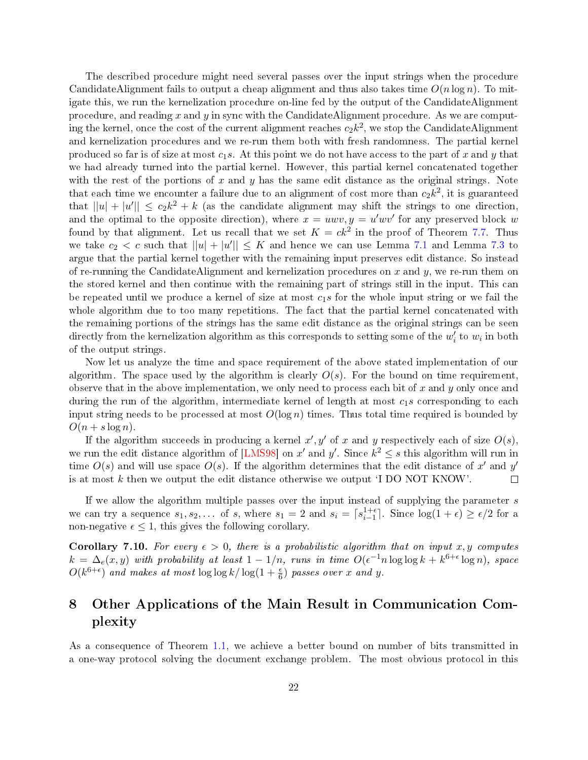The described procedure might need several passes over the input strings when the procedure CandidateAlignment fails to output a cheap alignment and thus also takes time  $O(n \log n)$ . To mitigate this, we run the kernelization procedure on-line fed by the output of the CandidateAlignment procedure, and reading x and y in sync with the CandidateAlignment procedure. As we are computing the kernel, once the cost of the current alignment reaches  $c_2 k^2$ , we stop the CandidateAlignment and kernelization procedures and we re-run them both with fresh randomness. The partial kernel produced so far is of size at most  $c_1s$ . At this point we do not have access to the part of x and y that we had already turned into the partial kernel. However, this partial kernel concatenated together with the rest of the portions of x and y has the same edit distance as the original strings. Note that each time we encounter a failure due to an alignment of cost more than  $c_2k^2$ , it is guaranteed that  $||u| + |u'|| \leq c_2 k^2 + k$  (as the candidate alignment may shift the strings to one direction, and the optimal to the opposite direction), where  $x = uwv, y = u'wv'$  for any preserved block w found by that alignment. Let us recall that we set  $K = ck^2$  in the proof of Theorem [7.7.](#page-20-1) Thus we take  $c_2 < c$  such that  $||u| + |u'|| \leq K$  and hence we can use Lemma [7.1](#page-16-1) and Lemma [7.3](#page-17-2) to argue that the partial kernel together with the remaining input preserves edit distance. So instead of re-running the CandidateAlignment and kernelization procedures on  $x$  and  $y$ , we re-run them on the stored kernel and then continue with the remaining part of strings still in the input. This can be repeated until we produce a kernel of size at most  $c_1s$  for the whole input string or we fail the whole algorithm due to too many repetitions. The fact that the partial kernel concatenated with the remaining portions of the strings has the same edit distance as the original strings can be seen directly from the kernelization algorithm as this corresponds to setting some of the  $w'_i$  to  $w_i$  in both of the output strings.

Now let us analyze the time and space requirement of the above stated implementation of our algorithm. The space used by the algorithm is clearly  $O(s)$ . For the bound on time requirement. observe that in the above implementation, we only need to process each bit of x and y only once and during the run of the algorithm, intermediate kernel of length at most  $c_1s$  corresponding to each input string needs to be processed at most  $O(\log n)$  times. Thus total time required is bounded by  $O(n + s \log n)$ .

If the algorithm succeeds in producing a kernel  $x', y'$  of x and y respectively each of size  $O(s)$ , we run the edit distance algorithm of [\[LMS98\]](#page-24-4) on  $x'$  and  $y'$ . Since  $k^2 \leq s$  this algorithm will run in time  $O(s)$  and will use space  $O(s)$ . If the algorithm determines that the edit distance of x' and y' is at most  $k$  then we output the edit distance otherwise we output  $\mathcal{I}$  DO NOT KNOW'.  $\Box$ 

If we allow the algorithm multiple passes over the input instead of supplying the parameter  $s$ we can try a sequence  $s_1, s_2, \ldots$  of s, where  $s_1 = 2$  and  $s_i = \lceil s_{i-1}^{1+\epsilon} \rceil$ . Since  $\log(1+\epsilon) \geq \epsilon/2$  for a non-negative  $\epsilon \leq 1$ , this gives the following corollary.

<span id="page-21-0"></span>Corollary 7.10. For every  $\epsilon > 0$ , there is a probabilistic algorithm that on input x, y computes  $k = \Delta_e(x, y)$  with probability at least  $1 - 1/n$ , runs in time  $O(\epsilon^{-1} n \log \log k + k^{6+\epsilon} \log n)$ , space  $O(k^{6+\epsilon})$  and makes at most  $\log \log k / \log(1+\frac{\epsilon}{6})$  passes over x and y.

# <span id="page-21-1"></span>8 Other Applications of the Main Result in Communication Complexity

As a consequence of Theorem [1.1,](#page-2-1) we achieve a better bound on number of bits transmitted in a one-way protocol solving the document exchange problem. The most obvious protocol in this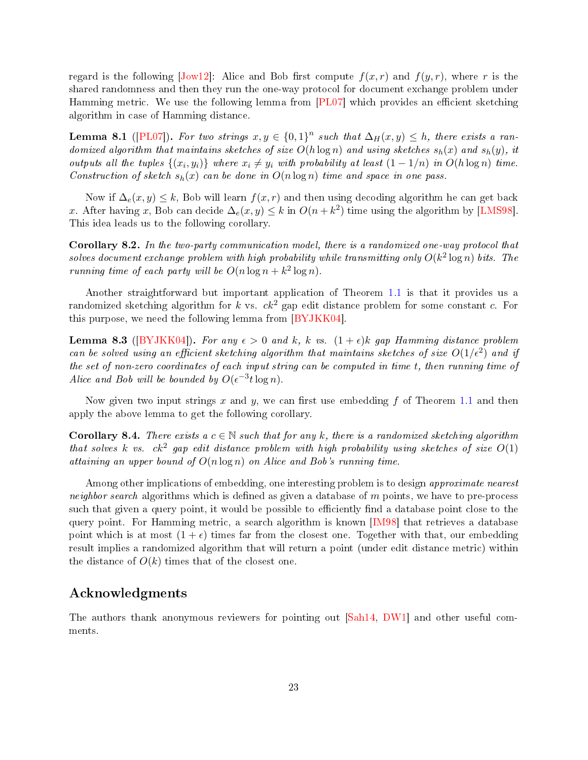regard is the following  $[Jow12]$ : Alice and Bob first compute  $f(x,r)$  and  $f(y,r)$ , where r is the shared randomness and then they run the one-way protocol for document exchange problem under Hamming metric. We use the following lemma from  $[PL07]$  which provides an efficient sketching algorithm in case of Hamming distance.

**Lemma 8.1** ([\[PL07\]](#page-25-1)). For two strings  $x, y \in \{0, 1\}^n$  such that  $\Delta_H(x, y) \leq h$ , there exists a randomized algorithm that maintains sketches of size  $O(h \log n)$  and using sketches  $s_h(x)$  and  $s_h(y)$ , it outputs all the tuples  $\{(x_i, y_i)\}\$  where  $x_i \neq y_i$  with probability at least  $(1 - 1/n)$  in  $O(h \log n)$  time. Construction of sketch  $s_h(x)$  can be done in  $O(n \log n)$  time and space in one pass.

Now if  $\Delta_e(x, y) \leq k$ , Bob will learn  $f(x, r)$  and then using decoding algorithm he can get back x. After having x, Bob can decide  $\Delta_e(x, y) \leq k$  in  $O(n + k^2)$  time using the algorithm by [\[LMS98\]](#page-24-4). This idea leads us to the following corollary.

Corollary 8.2. In the two-party communication model, there is a randomized one-way protocol that solves document exchange problem with high probability while transmitting only  $O(k^2\log n)$  bits. The running time of each party will be  $O(n \log n + k^2 \log n)$ .

Another straightforward but important application of Theorem [1.1](#page-2-1) is that it provides us a randomized sketching algorithm for k vs.  $ck^2$  gap edit distance problem for some constant c. For this purpose, we need the following lemma from [\[BYJKK04\]](#page-23-1).

**Lemma 8.3** ([\[BYJKK04\]](#page-23-1)). For any  $\epsilon > 0$  and k, k vs.  $(1 + \epsilon)k$  gap Hamming distance problem can be solved using an efficient sketching algorithm that maintains sketches of size  $O(1/\epsilon^2)$  and if the set of non-zero coordinates of each input string can be computed in time t, then running time of Alice and Bob will be bounded by  $O(\epsilon^{-3} t \log n)$ .

Now given two input strings x and y, we can first use embedding  $f$  of Theorem [1.1](#page-2-1) and then apply the above lemma to get the following corollary.

**Corollary 8.4.** There exists  $a \in \mathbb{N}$  such that for any k, there is a randomized sketching algorithm that solves k vs.  $ck^2$  gap edit distance problem with high probability using sketches of size  $O(1)$ attaining an upper bound of  $O(n \log n)$  on Alice and Bob's running time.

Among other implications of embedding, one interesting problem is to design *approximate nearest* neighbor search algorithms which is defined as given a database of  $m$  points, we have to pre-process such that given a query point, it would be possible to efficiently find a database point close to the query point. For Hamming metric, a search algorithm is known [\[IM98\]](#page-24-14) that retrieves a database point which is at most  $(1 + \epsilon)$  times far from the closest one. Together with that, our embedding result implies a randomized algorithm that will return a point (under edit distance metric) within the distance of  $O(k)$  times that of the closest one.

# Acknowledgments

The authors thank anonymous reviewers for pointing out [\[Sah14,](#page-25-3) [DW1\]](#page-24-2) and other useful comments.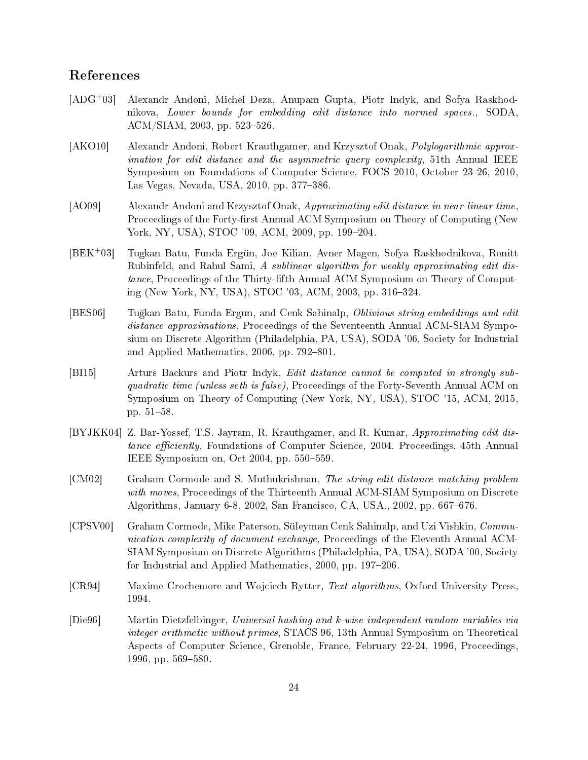# References

- <span id="page-23-8"></span>[ADG+03] Alexandr Andoni, Michel Deza, Anupam Gupta, Piotr Indyk, and Sofya Raskhodnikova, Lower bounds for embedding edit distance into normed spaces., SODA,  $ACM/SIAM, 2003, pp. 523-526.$
- <span id="page-23-4"></span>[AKO10] Alexandr Andoni, Robert Krauthgamer, and Krzysztof Onak, *Polylogarithmic approx*imation for edit distance and the asymmetric query complexity, 51th Annual IEEE Symposium on Foundations of Computer Science, FOCS 2010, October 23-26, 2010, Las Vegas, Nevada, USA, 2010, pp. 377-386.
- <span id="page-23-2"></span>[AO09] Alexandr Andoni and Krzysztof Onak, Approximating edit distance in near-linear time, Proceedings of the Forty-first Annual ACM Symposium on Theory of Computing (New York, NY, USA), STOC '09, ACM, 2009, pp. 199-204.
- <span id="page-23-6"></span>[BEK+03] Tugkan Batu, Funda Ergün, Joe Kilian, Avner Magen, Sofya Raskhodnikova, Ronitt Rubinfeld, and Rahul Sami, A sublinear algorithm for weakly approximating edit distance, Proceedings of the Thirty-fth Annual ACM Symposium on Theory of Computing (New York, NY, USA), STOC '03, ACM, 2003, pp. 316-324.
- <span id="page-23-5"></span>[BES06] Tu§kan Batu, Funda Ergun, and Cenk Sahinalp, Oblivious string embeddings and edit distance approximations, Proceedings of the Seventeenth Annual ACM-SIAM Symposium on Discrete Algorithm (Philadelphia, PA, USA), SODA '06, Society for Industrial and Applied Mathematics, 2006, pp. 792–801.
- <span id="page-23-0"></span>[BI15] Arturs Backurs and Piotr Indyk, Edit distance cannot be computed in strongly subquadratic time (unless seth is false), Proceedings of the Forty-Seventh Annual ACM on Symposium on Theory of Computing (New York, NY, USA), STOC '15, ACM, 2015, pp. 51-58.
- <span id="page-23-1"></span>[BYJKK04] Z. Bar-Yossef, T.S. Jayram, R. Krauthgamer, and R. Kumar, Approximating edit distance efficiently, Foundations of Computer Science, 2004. Proceedings. 45th Annual IEEE Symposium on, Oct  $2004$ , pp.  $550-559$ .
- <span id="page-23-7"></span>[CM02] Graham Cormode and S. Muthukrishnan, The string edit distance matching problem with moves, Proceedings of the Thirteenth Annual ACM-SIAM Symposium on Discrete Algorithms, January 6-8, 2002, San Francisco, CA, USA., 2002, pp. 667–676.
- <span id="page-23-3"></span>[CPSV00] Graham Cormode, Mike Paterson, Süleyman Cenk Sahinalp, and Uzi Vishkin, Communication complexity of document exchange, Proceedings of the Eleventh Annual ACM-SIAM Symposium on Discrete Algorithms (Philadelphia, PA, USA), SODA '00, Society for Industrial and Applied Mathematics, 2000, pp. 197–206.
- <span id="page-23-10"></span>[CR94] Maxime Crochemore and Wojciech Rytter, Text algorithms, Oxford University Press, 1994.
- <span id="page-23-9"></span>[Die96] Martin Dietzfelbinger, Universal hashing and k-wise independent random variables via integer arithmetic without primes, STACS 96, 13th Annual Symposium on Theoretical Aspects of Computer Science, Grenoble, France, February 22-24, 1996, Proceedings, 1996, pp. 569-580.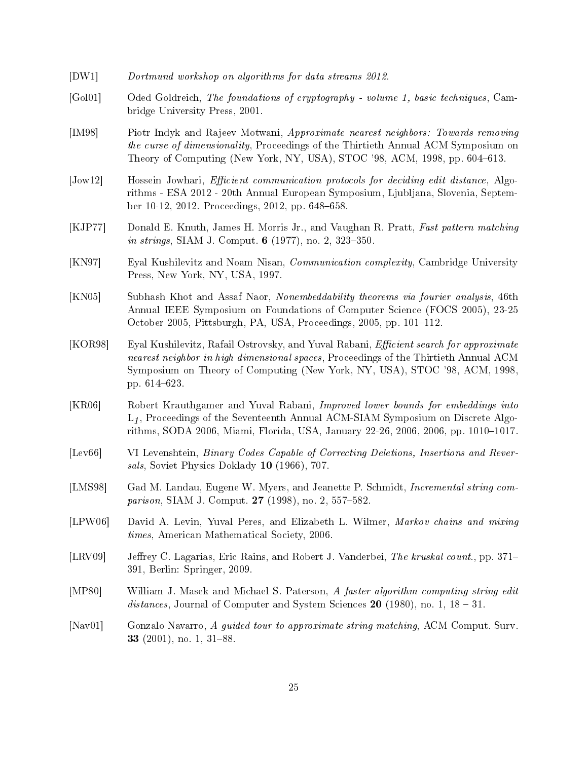- <span id="page-24-2"></span>[DW1] Dortmund workshop on algorithms for data streams 2012.
- <span id="page-24-12"></span>[Gol01] Oded Goldreich, The foundations of cryptography - volume 1, basic techniques, Cambridge University Press, 2001.
- <span id="page-24-14"></span>[IM98] Piotr Indyk and Rajeev Motwani, Approximate nearest neighbors: Towards removing the curse of dimensionality, Proceedings of the Thirtieth Annual ACM Symposium on Theory of Computing (New York, NY, USA), STOC '98, ACM, 1998, pp. 604–613.
- <span id="page-24-9"></span>[Jow12] Hossein Jowhari, *Efficient communication protocols for deciding edit distance*, Algorithms - ESA 2012 - 20th Annual European Symposium, Ljubljana, Slovenia, September 10-12, 2012. Proceedings, 2012, pp. 648-658.
- <span id="page-24-13"></span>[KJP77] Donald E. Knuth, James H. Morris Jr., and Vaughan R. Pratt, Fast pattern matching *in strings*, SIAM J. Comput. **6** (1977), no. 2, 323-350.
- <span id="page-24-1"></span>[KN97] Eyal Kushilevitz and Noam Nisan, Communication complexity, Cambridge University Press, New York, NY, USA, 1997.
- <span id="page-24-7"></span>[KN05] Subhash Khot and Assaf Naor, Nonembeddability theorems via fourier analysis, 46th Annual IEEE Symposium on Foundations of Computer Science (FOCS 2005), 23-25 October 2005, Pittsburgh, PA, USA, Proceedings, 2005, pp. 101–112.
- <span id="page-24-10"></span>[KOR98] Eyal Kushilevitz, Rafail Ostrovsky, and Yuval Rabani, *Efficient search for approximate* nearest neighbor in high dimensional spaces, Proceedings of the Thirtieth Annual ACM Symposium on Theory of Computing (New York, NY, USA), STOC '98, ACM, 1998, pp.  $614-623$ .
- <span id="page-24-8"></span>[KR06] Robert Krauthgamer and Yuval Rabani, Improved lower bounds for embeddings into  ${\rm L}_1$ , Proceedings of the Seventeenth Annual ACM-SIAM Symposium on Discrete Algorithms, SODA 2006, Miami, Florida, USA, January 22-26, 2006, 2006, pp. 1010–1017.
- <span id="page-24-0"></span>[Lev66] VI Levenshtein, Binary Codes Capable of Correcting Deletions, Insertions and Reversals, Soviet Physics Doklady 10 (1966), 707.
- <span id="page-24-4"></span>[LMS98] Gad M. Landau, Eugene W. Myers, and Jeanette P. Schmidt, Incremental string comparison, SIAM J. Comput.  $27$  (1998), no. 2, 557-582.
- <span id="page-24-11"></span>[LPW06] David A. Levin, Yuval Peres, and Elizabeth L. Wilmer, Markov chains and mixing times, American Mathematical Society, 2006.
- <span id="page-24-3"></span>[LRV09] Jeffrey C. Lagarias, Eric Rains, and Robert J. Vanderbei, The kruskal count., pp. 371– 391, Berlin: Springer, 2009.
- <span id="page-24-6"></span>[MP80] William J. Masek and Michael S. Paterson, A faster algorithm computing string edit distances, Journal of Computer and System Sciences 20 (1980), no. 1,  $18 - 31$ .
- <span id="page-24-5"></span>[Nav01] Gonzalo Navarro, A guided tour to approximate string matching, ACM Comput. Surv. 33  $(2001)$ , no. 1, 31-88.